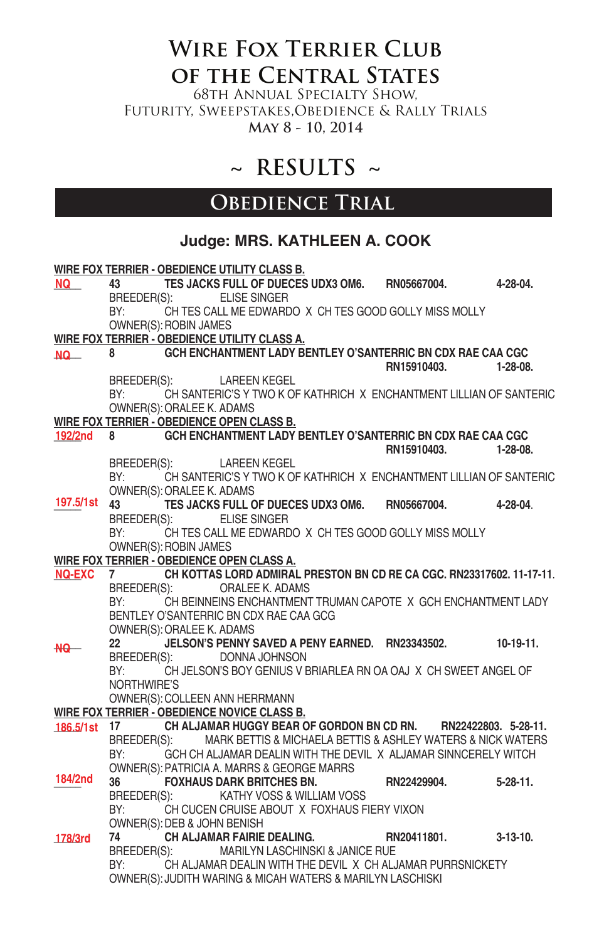# **Wire Fox Terrier Club of the Central States**

68th Annual Specialty Show, Futurity, Sweepstakes,Obedience & Rally Trials **May 8 - 10, 2014**

# **~ RESULTS ~**

### **OBEDIENCE TRIAL**

### **Judge: MRS. KATHLEEN A. COOK**

|                 |                    |                             | WIRE FOX TERRIER - OBEDIENCE UTILITY CLASS B.                                                   |             |                 |
|-----------------|--------------------|-----------------------------|-------------------------------------------------------------------------------------------------|-------------|-----------------|
| NQ L            | 43 — 1             |                             | TES JACKS FULL OF DUECES UDX3 OM6. RN05667004.<br>BREEDER(S): ELISE SINGER                      |             | 4-28-04.        |
|                 | BY:                |                             | CH TES CALL ME EDWARDO X CH TES GOOD GOLLY MISS MOLLY                                           |             |                 |
|                 |                    | OWNER(S): ROBIN JAMES       |                                                                                                 |             |                 |
|                 |                    |                             | WIRE FOX TERRIER - OBEDIENCE UTILITY CLASS A.                                                   |             |                 |
| NQ <sub>_</sub> | 8 — 1              |                             | GCH ENCHANTMENT LADY BENTLEY O'SANTERRIC BN CDX RAE CAA CGC                                     |             |                 |
|                 |                    |                             |                                                                                                 | RN15910403. | $1-28-08$       |
|                 | BY:                |                             | BREEDER(S): LAREEN KEGEL<br>CH SANTERIC'S Y TWO K OF KATHRICH X ENCHANTMENT LILLIAN OF SANTERIC |             |                 |
|                 |                    | OWNER(S): ORALEE K. ADAMS   |                                                                                                 |             |                 |
|                 |                    |                             | WIRE FOX TERRIER - OBEDIENCE OPEN CLASS B.                                                      |             |                 |
| 192/2nd         |                    |                             | GCH ENCHANTMENT LADY BENTLEY O'SANTERRIC BN CDX RAE CAA CGC                                     |             |                 |
|                 |                    |                             |                                                                                                 | RN15910403. | $1-28-08.$      |
|                 |                    |                             | BREEDER(S): LAREEN KEGEL                                                                        |             |                 |
|                 |                    |                             | BY: CH SANTERIC'S Y TWO K OF KATHRICH X ENCHANTMENT LILLIAN OF SANTERIC                         |             |                 |
|                 |                    | OWNER(S): ORALEE K. ADAMS   |                                                                                                 |             |                 |
| 197.5/1st 43    |                    |                             | TES JACKS FULL OF DUECES UDX3 OM6. RN05667004.                                                  |             | 4-28-04         |
|                 |                    |                             | BREEDER(S): ELISE SINGER                                                                        |             |                 |
|                 | BY:                |                             | CH TES CALL ME EDWARDO X CH TES GOOD GOLLY MISS MOLLY                                           |             |                 |
|                 |                    | OWNER(S): ROBIN JAMES       |                                                                                                 |             |                 |
|                 |                    |                             | WIRE FOX TERRIER - OBEDIENCE OPEN CLASS A.                                                      |             |                 |
| <b>NQ-EXC</b>   | 7                  |                             | CH KOTTAS LORD ADMIRAL PRESTON BN CD RE CA CGC, RN23317602, 11-17-11.                           |             |                 |
|                 | BREEDER(S):<br>BY: |                             | ORALEE K. ADAMS<br>CH BEINNEINS ENCHANTMENT TRUMAN CAPOTE X GCH ENCHANTMENT LADY                |             |                 |
|                 |                    |                             | BENTLEY O'SANTERRIC BN CDX RAE CAA GCG                                                          |             |                 |
|                 |                    | OWNER(S): ORALEE K. ADAMS   |                                                                                                 |             |                 |
|                 | 22                 |                             | JELSON'S PENNY SAVED A PENY EARNED. RN23343502. 10-19-11.                                       |             |                 |
| -NQ             | BREEDER(S):        |                             | DONNA JOHNSON                                                                                   |             |                 |
|                 | BY:                |                             | CH JELSON'S BOY GENIUS V BRIARLEA RN OA OAJ X CH SWEET ANGEL OF                                 |             |                 |
|                 | NORTHWIRE'S        |                             |                                                                                                 |             |                 |
|                 |                    |                             | OWNER(S): COLLEEN ANN HERRMANN                                                                  |             |                 |
|                 |                    |                             | WIRE FOX TERRIER - OBEDIENCE NOVICE CLASS B.                                                    |             |                 |
| 186.5/1st 17    |                    |                             | CH ALJAMAR HUGGY BEAR OF GORDON BN CD RN. RN22422803. 5-28-11.                                  |             |                 |
|                 | BREEDER(S):        |                             | MARK BETTIS & MICHAELA BETTIS & ASHLEY WATERS & NICK WATERS                                     |             |                 |
|                 | BY:                |                             | GCH CH ALJAMAR DEALIN WITH THE DEVIL X ALJAMAR SINNCERELY WITCH                                 |             |                 |
| 184/2nd         |                    |                             | OWNER(S): PATRICIA A. MARRS & GEORGE MARRS                                                      |             |                 |
|                 | 36                 |                             | $\sim$ FOXHAUS DARK BRITCHES BN. $\sim$ RN22429904.<br>BREEDER(S): KATHY VOSS & WILLIAM VOSS    |             | $5 - 28 - 11$ . |
|                 | BY:                |                             | CH CUCEN CRUISE ABOUT X FOXHAUS FIERY VIXON                                                     |             |                 |
|                 |                    | OWNER(S): DEB & JOHN BENISH |                                                                                                 |             |                 |
| 178/3rd         | 74                 |                             | <b>CH ALJAMAR FAIRIE DEALING.</b>                                                               | RN20411801. | $3-13-10.$      |
|                 |                    | BREEDER(S):                 | MARILYN LASCHINSKI & JANICE RUE                                                                 |             |                 |
|                 | BY:                |                             | CH ALJAMAR DEALIN WITH THE DEVIL X CH ALJAMAR PURRSNICKETY                                      |             |                 |
|                 |                    |                             | OWNER(S): JUDITH WARING & MICAH WATERS & MARILYN LASCHISKI                                      |             |                 |
|                 |                    |                             |                                                                                                 |             |                 |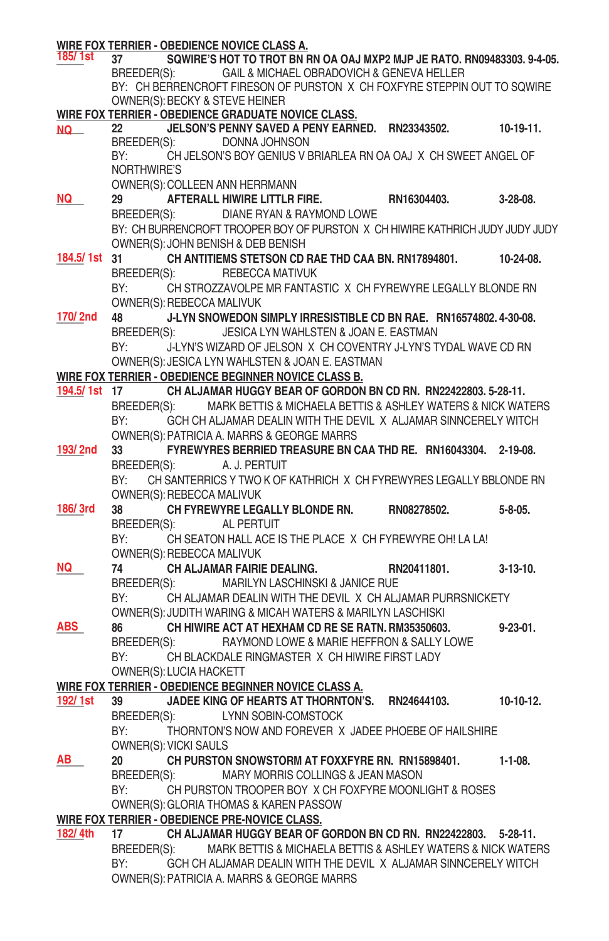| 185/ 1st     | WIRE FOX TERRIER - OBEDIENCE NOVICE CLASS A.<br>SQWIRE'S HOT TO TROT BN RN OA OAJ MXP2 MJP JE RATO. RN09483303. 9-4-05.<br>37 |                 |
|--------------|-------------------------------------------------------------------------------------------------------------------------------|-----------------|
|              | BREEDER(S): GAIL & MICHAEL OBRADOVICH & GENEVA HELLER                                                                         |                 |
|              | BY: CH BERRENCROFT FIRESON OF PURSTON X CH FOXFYRE STEPPIN OUT TO SQWIRE                                                      |                 |
|              | OWNER(S): BECKY & STEVE HEINER                                                                                                |                 |
|              | WIRE FOX TERRIER - OBEDIENCE GRADUATE NOVICE CLASS.                                                                           |                 |
| NQ           | JELSON'S PENNY SAVED A PENY EARNED. RN23343502. 10-19-11.<br>22                                                               |                 |
|              | DONNA JOHNSON<br>BREEDER(S):                                                                                                  |                 |
|              | CH JELSON'S BOY GENIUS V BRIARLEA RN OA OAJ X CH SWEET ANGEL OF<br>BY:                                                        |                 |
|              | NORTHWIRE'S                                                                                                                   |                 |
|              | OWNER(S): COLLEEN ANN HERRMANN                                                                                                |                 |
| NQ           | 29<br>AFTERALL HIWIRE LITTLR FIRE.<br>RN16304403.<br>DIANE RYAN & RAYMOND LOWE                                                | $3-28-08$ .     |
|              | BREEDER(S):<br>BY: CH BURRENCROFT TROOPER BOY OF PURSTON X CH HIWIRE KATHRICH JUDY JUDY JUDY                                  |                 |
|              | OWNER(S): JOHN BENISH & DEB BENISH                                                                                            |                 |
| 184.5/1st 31 | CH ANTITIEMS STETSON CD RAE THD CAA BN. RN17894801.                                                                           | 10-24-08.       |
|              | BREEDER(S):<br>REBECCA MATIVUK                                                                                                |                 |
|              | CH STROZZAVOLPE MR FANTASTIC X CH FYREWYRE LEGALLY BLONDE RN<br>BY:                                                           |                 |
|              | OWNER(S): REBECCA MALIVUK                                                                                                     |                 |
| 170/2nd      | J-LYN SNOWEDON SIMPLY IRRESISTIBLE CD BN RAE. RN16574802.4-30-08.<br>48                                                       |                 |
|              | BREEDER(S): JESICA LYN WAHLSTEN & JOAN E. EASTMAN                                                                             |                 |
|              | BY:<br>J-LYN'S WIZARD OF JELSON X CH COVENTRY J-LYN'S TYDAL WAVE CD RN                                                        |                 |
|              | OWNER(S): JESICA LYN WAHLSTEN & JOAN E. EASTMAN                                                                               |                 |
|              | WIRE FOX TERRIER - OBEDIENCE BEGINNER NOVICE CLASS B.                                                                         |                 |
|              | CH ALJAMAR HUGGY BEAR OF GORDON BN CD RN. RN22422803. 5-28-11.<br>194.5/1st 17                                                |                 |
|              | MARK BETTIS & MICHAELA BETTIS & ASHLEY WATERS & NICK WATERS<br>BREEDER(S):                                                    |                 |
|              | BY:<br>GCH CH ALJAMAR DEALIN WITH THE DEVIL X ALJAMAR SINNCERELY WITCH                                                        |                 |
|              | OWNER(S): PATRICIA A. MARRS & GEORGE MARRS                                                                                    |                 |
| 193/2nd      | FYREWYRES BERRIED TREASURE BN CAA THD RE. RN16043304. 2-19-08.<br>33                                                          |                 |
|              | BREEDER(S):<br>A. J. PERTUIT                                                                                                  |                 |
|              | CH SANTERRICS Y TWO K OF KATHRICH X CH FYREWYRES LEGALLY BBLONDE RN<br>BY:                                                    |                 |
|              | OWNER(S): REBECCA MALIVUK                                                                                                     |                 |
| 186/3rd      | CH FYREWYRE LEGALLY BLONDE RN. RN08278502.<br>38                                                                              | $5 - 8 - 05$ .  |
|              | BREEDER(S):<br>AL PERTUIT<br>CH SEATON HALL ACE IS THE PLACE X CH FYREWYRE OH! LA LA!<br>BY:                                  |                 |
|              | OWNER(S): REBECCA MALIVUK                                                                                                     |                 |
| NQ           | 74<br>CH ALJAMAR FAIRIE DEALING.<br>RN20411801.                                                                               | $3-13-10.$      |
|              | BREEDER(S):<br>MARILYN LASCHINSKI & JANICE RUE                                                                                |                 |
|              | CH ALJAMAR DEALIN WITH THE DEVIL X CH ALJAMAR PURRSNICKETY<br>BY:                                                             |                 |
|              | OWNER(S): JUDITH WARING & MICAH WATERS & MARILYN LASCHISKI                                                                    |                 |
| ABS          | CH HIWIRE ACT AT HEXHAM CD RE SE RATN. RM35350603.<br>86                                                                      | $9 - 23 - 01$ . |
|              | BREEDER(S): RAYMOND LOWE & MARIE HEFFRON & SALLY LOWE                                                                         |                 |
|              | CH BLACKDALE RINGMASTER X CH HIWIRE FIRST LADY<br>BY:                                                                         |                 |
|              | OWNER(S): LUCIA HACKETT                                                                                                       |                 |
|              | WIRE FOX TERRIER - OBEDIENCE BEGINNER NOVICE CLASS A.                                                                         |                 |
| 192/1st      | JADEE KING OF HEARTS AT THORNTON'S.<br>RN24644103.<br>39                                                                      | $10-10-12.$     |
|              | BREEDER(S):<br>LYNN SOBIN-COMSTOCK                                                                                            |                 |
|              | BY:<br>THORNTON'S NOW AND FOREVER X JADEE PHOEBE OF HAILSHIRE                                                                 |                 |
|              | OWNER(S): VICKI SAULS                                                                                                         |                 |
| AB I         | CH PURSTON SNOWSTORM AT FOXXFYRE RN. RN15898401.<br>20                                                                        | $1 - 1 - 08.$   |
|              | BREEDER(S):<br>MARY MORRIS COLLINGS & JEAN MASON                                                                              |                 |
|              | BY:<br>CH PURSTON TROOPER BOY X CH FOXFYRE MOONLIGHT & ROSES                                                                  |                 |
|              | OWNER(S): GLORIA THOMAS & KAREN PASSOW                                                                                        |                 |
| 182/ 4th     | WIRE FOX TERRIER - OBEDIENCE PRE-NOVICE CLASS.<br>CH ALJAMAR HUGGY BEAR OF GORDON BN CD RN. RN22422803. 5-28-11.<br>17        |                 |
|              | MARK BETTIS & MICHAELA BETTIS & ASHLEY WATERS & NICK WATERS<br>BREEDER(S):                                                    |                 |
|              | BY:<br>GCH CH ALJAMAR DEALIN WITH THE DEVIL X ALJAMAR SINNCERELY WITCH                                                        |                 |
|              | OWNER(S): PATRICIA A. MARRS & GEORGE MARRS                                                                                    |                 |
|              |                                                                                                                               |                 |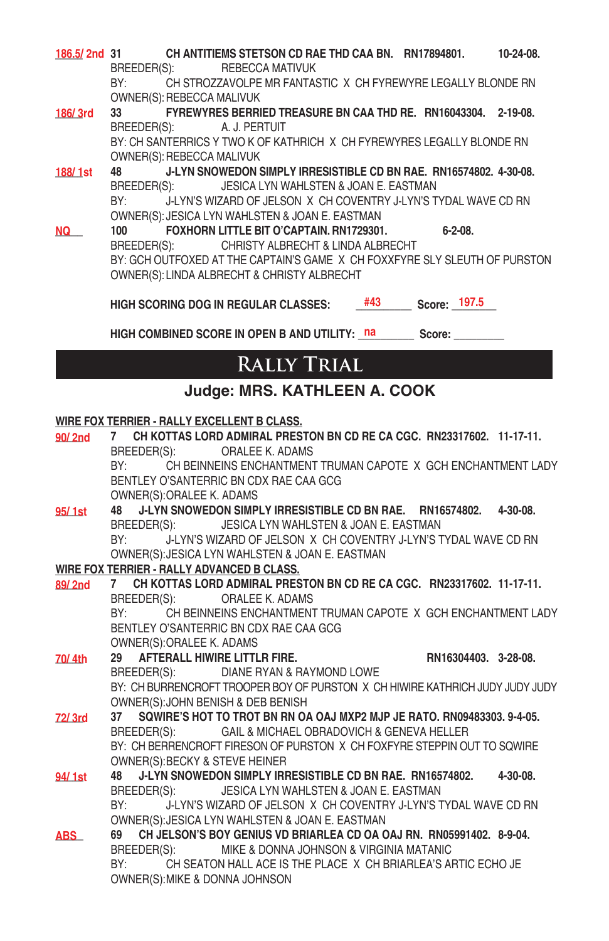| 186.5/2nd 31 |             |                           | CH ANTITIEMS STETSON CD RAE THD CAA BN. RN17894801.                        |     |              |                | 10-24-08. |
|--------------|-------------|---------------------------|----------------------------------------------------------------------------|-----|--------------|----------------|-----------|
|              | BREEDER(S): |                           | REBECCA MATIVUK                                                            |     |              |                |           |
|              | BY:         |                           | CH STROZZAVOLPE MR FANTASTIC X CH FYREWYRE LEGALLY BLONDE RN               |     |              |                |           |
|              |             | OWNER(S): REBECCA MALIVUK |                                                                            |     |              |                |           |
| 186/3rd      | 33          |                           | FYREWYRES BERRIED TREASURE BN CAA THD RE. RN16043304. 2-19-08.             |     |              |                |           |
|              |             |                           | BREEDER(S): A. J. PERTUIT                                                  |     |              |                |           |
|              |             |                           | BY: CH SANTERRICS Y TWO K OF KATHRICH X CH FYREWYRES LEGALLY BLONDE RN     |     |              |                |           |
|              |             | OWNER(S): REBECCA MALIVUK |                                                                            |     |              |                |           |
| 188/1st      | 48          |                           | J-LYN SNOWEDON SIMPLY IRRESISTIBLE CD BN RAE, RN16574802, 4-30-08.         |     |              |                |           |
|              |             |                           | BREEDER(S): JESICA LYN WAHLSTEN & JOAN E. EASTMAN                          |     |              |                |           |
|              |             |                           | BY: J-LYN'S WIZARD OF JELSON X CH COVENTRY J-LYN'S TYDAL WAVE CD RN        |     |              |                |           |
|              |             |                           | OWNER(S): JESICA LYN WAHLSTEN & JOAN E. EASTMAN                            |     |              |                |           |
| NQ           | 100         |                           | FOXHORN LITTLE BIT O'CAPTAIN. RN1729301.                                   |     |              | $6 - 2 - 08$ . |           |
|              |             |                           | BREEDER(S): CHRISTY ALBRECHT & LINDA ALBRECHT                              |     |              |                |           |
|              |             |                           | BY: GCH OUTFOXED AT THE CAPTAIN'S GAME X CH FOXXFYRE SLY SLEUTH OF PURSTON |     |              |                |           |
|              |             |                           | OWNER(S): LINDA ALBRECHT & CHRISTY ALBRECHT                                |     |              |                |           |
|              |             |                           | HIGH SCORING DOG IN REGULAR CLASSES:                                       | #43 | Score: 197.5 |                |           |
|              |             |                           |                                                                            |     |              |                |           |

HIGH COMBINED SCORE IN OPEN B AND UTILITY: na score: score: which are not apply and the score: which are not apply and the score  $\frac{1}{2}$ 

# **Rally Trial**

### **Judge: MRS. KATHLEEN A. COOK**

#### **WIRE FOX TERRIER - RALLY EXCELLENT B CLASS.**

| 90/2nd | CH KOTTAS LORD ADMIRAL PRESTON BN CD RE CA CGC. RN23317602. 11-17-11.<br>7                                                                                                      |
|--------|---------------------------------------------------------------------------------------------------------------------------------------------------------------------------------|
|        | BREEDER(S):<br>ORALEE K. ADAMS                                                                                                                                                  |
|        | CH BEINNEINS ENCHANTMENT TRUMAN CAPOTE X GCH ENCHANTMENT LADY<br>BY: and the set of the set of the set of the set of the set of the set of the set of the set of the set of the |
|        | BENTLEY O'SANTERRIC BN CDX RAE CAA GCG                                                                                                                                          |
|        | OWNER(S): ORALEE K. ADAMS                                                                                                                                                       |
| 95/1st | J-LYN SNOWEDON SIMPLY IRRESISTIBLE CD BN RAE. RN16574802. 4-30-08.<br>48                                                                                                        |
|        | BREEDER(S): JESICA LYN WAHLSTEN & JOAN E. EASTMAN                                                                                                                               |
|        | BY:<br>J-LYN'S WIZARD OF JELSON X CH COVENTRY J-LYN'S TYDAL WAVE CD RN                                                                                                          |
|        | OWNER(S): JESICA LYN WAHLSTEN & JOAN E. EASTMAN                                                                                                                                 |
|        | WIRE FOX TERRIER - RALLY ADVANCED B CLASS.                                                                                                                                      |
| 89/2nd | 7 CH KOTTAS LORD ADMIRAL PRESTON BN CD RE CA CGC. RN23317602. 11-17-11.                                                                                                         |
|        | ORALEE K. ADAMS<br>BREEDER(S):                                                                                                                                                  |
|        | CH BEINNEINS ENCHANTMENT TRUMAN CAPOTE X GCH ENCHANTMENT LADY<br>BY: and the set of the set of the set of the set of the set of the set of the set of the set of the set of the |
|        | BENTLEY O'SANTERRIC BN CDX RAE CAA GCG                                                                                                                                          |
|        | OWNER(S): ORALEE K. ADAMS                                                                                                                                                       |
| 70/4th | RN16304403. 3-28-08.<br>29 AFTERALL HIWIRE LITTLR FIRE.                                                                                                                         |
|        | BREEDER(S): DIANE RYAN & RAYMOND LOWE                                                                                                                                           |
|        | BY: CH BURRENCROFT TROOPER BOY OF PURSTON X CH HIWIRE KATHRICH JUDY JUDY JUDY                                                                                                   |
|        | OWNER(S): JOHN BENISH & DEB BENISH                                                                                                                                              |
| 72/3rd | SQWIRE'S HOT TO TROT BN RN OA OAJ MXP2 MJP JE RATO. RN09483303, 9-4-05.<br>37                                                                                                   |
|        | BREEDER(S): GAIL & MICHAEL OBRADOVICH & GENEVA HELLER                                                                                                                           |
|        | BY: CH BERRENCROFT FIRESON OF PURSTON X CH FOXFYRE STEPPIN OUT TO SQWIRE                                                                                                        |
|        | OWNER(S): BECKY & STEVE HEINER                                                                                                                                                  |
| 94/1st | $4 - 30 - 08$ .<br>J-LYN SNOWEDON SIMPLY IRRESISTIBLE CD BN RAE. RN16574802.<br>48                                                                                              |
|        | BREEDER(S): JESICA LYN WAHLSTEN & JOAN E. EASTMAN                                                                                                                               |
|        | J-LYN'S WIZARD OF JELSON X CH COVENTRY J-LYN'S TYDAL WAVE CD RN<br>BY:                                                                                                          |
|        | OWNER(S): JESICA LYN WAHLSTEN & JOAN E. EASTMAN                                                                                                                                 |
| ABS_   | 69 CH JELSON'S BOY GENIUS VD BRIARLEA CD OA OAJ RN. RN05991402. 8-9-04.                                                                                                         |
|        | BREEDER(S):<br>MIKE & DONNA JOHNSON & VIRGINIA MATANIC                                                                                                                          |
|        | BY:<br>CH SEATON HALL ACE IS THE PLACE X CH BRIARLEA'S ARTIC ECHO JE                                                                                                            |
|        | OWNER(S): MIKE & DONNA JOHNSON                                                                                                                                                  |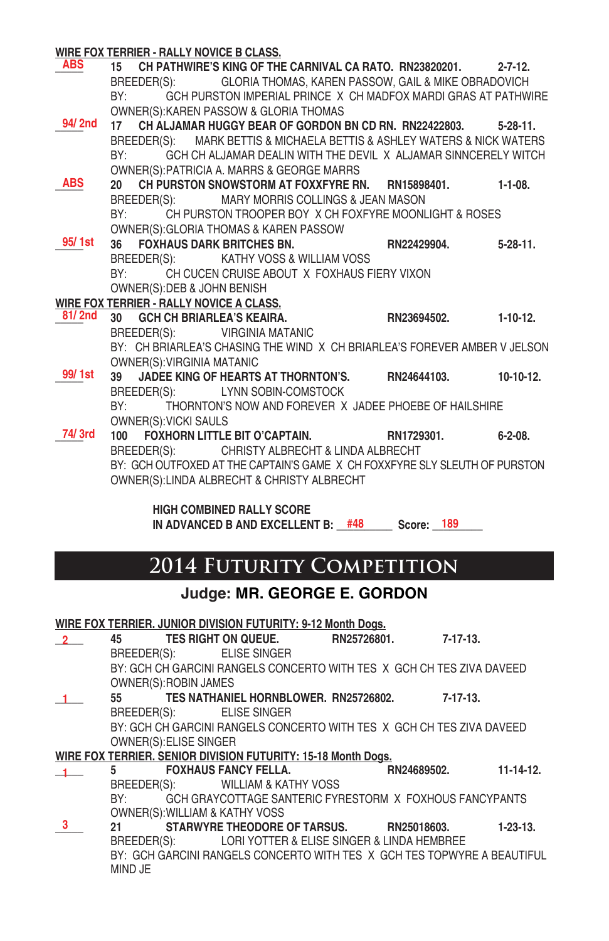#### **WIRE FOX TERRIER - RALLY NOVICE B CLASS.**

**\_\_\_\_\_ 15 CH PATHWIRE'S KING OF THE CARNIVAL CA RATO. RN23820201. 2-7-12.** BREEDER(S): GLORIA THOMAS, KAREN PASSOW, GAIL & MIKE OBRADOVICH BY: GCH PURSTON IMPERIAL PRINCE X CH MADFOX MARDI GRAS AT PATHWIRE OWNER(S):KAREN PASSOW & GLORIA THOMAS **\_\_\_\_\_ 17 CH ALJAMAR HUGGY BEAR OF GORDON BN CD RN. RN22422803. 5-28-11.** BREEDER(S): MARK BETTIS & MICHAELA BETTIS & ASHLEY WATERS & NICK WATERS BY: GCH CH ALJAMAR DEALIN WITH THE DEVIL X ALJAMAR SINNCERELY WITCH OWNER(S):PATRICIA A. MARRS & GEORGE MARRS **\_\_\_\_\_ 20 CH PURSTON SNOWSTORM AT FOXXFYRE RN. RN15898401. 1-1-08.** BREEDER(S): MARY MORRIS COLLINGS & JEAN MASON BY: CH PURSTON TROOPER BOY X CH FOXFYRE MOONLIGHT & ROSES OWNER(S):GLORIA THOMAS & KAREN PASSOW **\_\_\_\_\_ 36 FOXHAUS DARK BRITCHES BN. RN22429904. 5-28-11.** BREEDER(S): KATHY VOSS & WILLIAM VOSS BY: CH CUCEN CRUISE ABOUT X FOXHAUS FIERY VIXON OWNER(S):DEB & JOHN BENISH **WIRE FOX TERRIER - RALLY NOVICE A CLASS. \_\_\_\_\_ 30 GCH CH BRIARLEA'S KEAIRA. RN23694502. 1-10-12.** BREEDER(S): VIRGINIA MATANIC BY: CH BRIARLEA'S CHASING THE WIND X CH BRIARLEA'S FOREVER AMBER V JELSON OWNER(S):VIRGINIA MATANIC **\_\_\_\_\_ 39 JADEE KING OF HEARTS AT THORNTON'S. RN24644103. 10-10-12.** BREEDER(S): LYNN SOBIN-COMSTOCK BY: THORNTON'S NOW AND FOREVER X JADEE PHOEBE OF HAILSHIRE OWNER(S):VICKI SAULS **\_\_\_\_\_ 100 FOXHORN LITTLE BIT O'CAPTAIN. RN1729301. 6-2-08. 74/ 3rd** BREEDER(S): CHRISTY ALBRECHT & LINDA ALBRECHT BY: GCH OUTFOXED AT THE CAPTAIN'S GAME X CH FOXXFYRE SLY SLEUTH OF PURSTON OWNER(S):LINDA ALBRECHT & CHRISTY ALBRECHT  **HIGH COMBINED RALLY SCORE ABS 94/ 2nd ABS 95/ 1st 81/ 2nd 99/ 1st**

IN ADVANCED B AND EXCELLENT B:  $\frac{\#48}{48}$  Score: **189** 

### **2014 Futurity Competition**

#### **Judge: MR. GEORGE E. GORDON**

|               |                        | WIRE FOX TERRIER. JUNIOR DIVISION FUTURITY: 9-12 Month Dogs.            |                       |            |
|---------------|------------------------|-------------------------------------------------------------------------|-----------------------|------------|
| 2             |                        | 45 TES RIGHT ON QUEUE.                                                  | RN25726801. 7-17-13.  |            |
|               |                        | BREEDER(S): ELISE SINGER                                                |                       |            |
|               |                        | BY: GCH CH GARCINI RANGELS CONCERTO WITH TES X GCH CH TES ZIVA DAVEED   |                       |            |
|               | OWNER(S): ROBIN JAMES  |                                                                         |                       |            |
|               |                        | 55 TES NATHANIEL HORNBLOWER. RN25726802. 7-17-13.                       |                       |            |
|               |                        | BREEDER(S): ELISE SINGER                                                |                       |            |
|               |                        | BY: GCH CH GARCINI RANGELS CONCERTO WITH TES X GCH CH TES ZIVA DAVEED   |                       |            |
|               | OWNER(S): ELISE SINGER |                                                                         |                       |            |
|               |                        | WIRE FOX TERRIER. SENIOR DIVISION FUTURITY: 15-18 Month Dogs.           |                       |            |
| $\sim$        |                        | 5 FOXHAUS FANCY FELLA.                                                  | RN24689502. 11-14-12. |            |
|               |                        | BREEDER(S): WILLIAM & KATHY VOSS                                        |                       |            |
|               |                        | BY: GCH GRAYCOTTAGE SANTERIC FYRESTORM X FOXHOUS FANCYPANTS             |                       |            |
|               |                        | OWNER(S): WILLIAM & KATHY VOSS                                          |                       |            |
| $\frac{3}{2}$ |                        | 21 STARWYRE THEODORE OF TARSUS. RN25018603.                             |                       | $1-23-13.$ |
|               |                        | BREEDER(S): LORI YOTTER & ELISE SINGER & LINDA HEMBREE                  |                       |            |
|               |                        | BY: GCH GARCINI RANGELS CONCERTO WITH TES X GCH TES TOPWYRE A BEAUTIFUL |                       |            |
|               | MIND JE                |                                                                         |                       |            |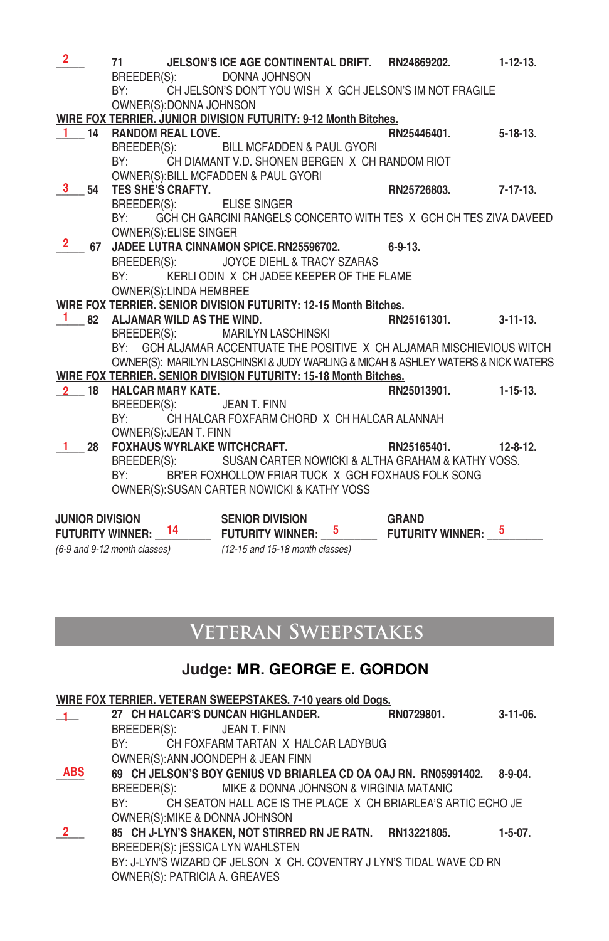| $\overline{2}$          | 71                           |                         | JELSON'S ICE AGE CONTINENTAL DRIFT. RN24869202. 1-12-13.<br>BREEDER(S): DONNA JOHNSON |   |                         |                 |
|-------------------------|------------------------------|-------------------------|---------------------------------------------------------------------------------------|---|-------------------------|-----------------|
|                         |                              |                         | BY: CH JELSON'S DON'T YOU WISH X GCH JELSON'S IM NOT FRAGILE                          |   |                         |                 |
|                         |                              | OWNER(S): DONNA JOHNSON |                                                                                       |   |                         |                 |
|                         |                              |                         | WIRE FOX TERRIER. JUNIOR DIVISION FUTURITY: 9-12 Month Bitches.                       |   |                         |                 |
|                         | 1 14 RANDOM REAL LOVE.       |                         |                                                                                       |   | RN25446401.             | $5 - 18 - 13$ . |
|                         |                              |                         | BREEDER(S): BILL MCFADDEN & PAUL GYORI                                                |   |                         |                 |
|                         |                              |                         | BY: CH DIAMANT V.D. SHONEN BERGEN X CH RANDOM RIOT                                    |   |                         |                 |
|                         |                              |                         | OWNER(S): BILL MCFADDEN & PAUL GYORI                                                  |   |                         |                 |
| 3 54                    | TES SHE'S CRAFTY.            |                         |                                                                                       |   | RN25726803. 7-17-13.    |                 |
|                         |                              |                         | BREEDER(S): ELISE SINGER                                                              |   |                         |                 |
|                         | BY:                          |                         | GCH CH GARCINI RANGELS CONCERTO WITH TES X GCH CH TES ZIVA DAVEED                     |   |                         |                 |
|                         |                              | OWNER(S): ELISE SINGER  |                                                                                       |   |                         |                 |
|                         |                              |                         | 67 JADEE LUTRA CINNAMON SPICE. RN25596702. 6-9-13.                                    |   |                         |                 |
|                         |                              |                         | BREEDER(S): JOYCE DIEHL & TRACY SZARAS                                                |   |                         |                 |
|                         | BY:                          |                         | KERLI ODIN X CH JADEE KEEPER OF THE FLAME                                             |   |                         |                 |
|                         |                              | OWNER(S): LINDA HEMBREE |                                                                                       |   |                         |                 |
|                         |                              |                         | WIRE FOX TERRIER. SENIOR DIVISION FUTURITY: 12-15 Month Bitches.                      |   |                         |                 |
| $1 \quad$               | 82 ALJAMAR WILD AS THE WIND. |                         |                                                                                       |   | RN25161301. 3-11-13.    |                 |
|                         |                              |                         | BREEDER(S): MARILYN LASCHINSKI                                                        |   |                         |                 |
|                         |                              |                         | BY: GCH ALJAMAR ACCENTUATE THE POSITIVE X CH ALJAMAR MISCHIEVIOUS WITCH               |   |                         |                 |
|                         |                              |                         | OWNER(S): MARILYN LASCHINSKI & JUDY WARLING & MICAH & ASHLEY WATERS & NICK WATERS     |   |                         |                 |
|                         |                              |                         | WIRE FOX TERRIER. SENIOR DIVISION FUTURITY: 15-18 Month Bitches.                      |   |                         |                 |
|                         | 2 18 HALCAR MARY KATE.       |                         |                                                                                       |   | RN25013901.             | $1 - 15 - 13$ . |
|                         |                              |                         | BREEDER(S): JEAN T. FINN                                                              |   |                         |                 |
|                         |                              |                         | BY: CH HALCAR FOXFARM CHORD X CH HALCAR ALANNAH                                       |   |                         |                 |
|                         |                              | OWNER(S): JEAN T. FINN  |                                                                                       |   |                         |                 |
|                         |                              |                         | 28 FOXHAUS WYRLAKE WITCHCRAFT.                                                        |   | RN25165401. 12-8-12.    |                 |
|                         |                              |                         | BREEDER(S): SUSAN CARTER NOWICKI & ALTHA GRAHAM & KATHY VOSS.                         |   |                         |                 |
|                         |                              |                         | BY: BR'ER FOXHOLLOW FRIAR TUCK X GCH FOXHAUS FOLK SONG                                |   |                         |                 |
|                         |                              |                         | OWNER(S): SUSAN CARTER NOWICKI & KATHY VOSS                                           |   |                         |                 |
| <b>JUNIOR DIVISION</b>  |                              |                         | <b>SENIOR DIVISION</b>                                                                |   | <b>GRAND</b>            |                 |
| <b>FUTURITY WINNER:</b> |                              | 14                      | <b>FUTURITY WINNER:</b>                                                               | 5 | <b>FUTURITY WINNER:</b> | 5               |
|                         |                              |                         |                                                                                       |   |                         |                 |

*(6-9 and 9-12 month classes) (12-15 and 15-18 month classes)*

# **Veteran Sweepstakes**

### **Judge: MR. GEORGE E. GORDON**

|                |                                                                                                                                                                                                                                | WIRE FOX TERRIER. VETERAN SWEEPSTAKES. 7-10 years old Dogs.          |            |                |
|----------------|--------------------------------------------------------------------------------------------------------------------------------------------------------------------------------------------------------------------------------|----------------------------------------------------------------------|------------|----------------|
| $\blacksquare$ |                                                                                                                                                                                                                                | 27 CH HALCAR'S DUNCAN HIGHLANDER.                                    | RN0729801. | $3-11-06$ .    |
|                | BREEDER(S): JEAN T. FINN                                                                                                                                                                                                       |                                                                      |            |                |
|                |                                                                                                                                                                                                                                | BY: CH FOXFARM TARTAN X HALCAR LADYBUG                               |            |                |
|                | OWNER(S): ANN JOONDEPH & JEAN FINN                                                                                                                                                                                             |                                                                      |            |                |
| <b>ABS</b>     |                                                                                                                                                                                                                                | 69 CH JELSON'S BOY GENIUS VD BRIARLEA CD OA OAJ RN. RN05991402.      |            | $8 - 9 - 04$ . |
|                |                                                                                                                                                                                                                                | BREEDER(S): MIKE & DONNA JOHNSON & VIRGINIA MATANIC                  |            |                |
|                | BY: and the set of the set of the set of the set of the set of the set of the set of the set of the set of the set of the set of the set of the set of the set of the set of the set of the set of the set of the set of the s | CH SEATON HALL ACE IS THE PLACE X CH BRIARLEA'S ARTIC ECHO JE        |            |                |
|                | OWNER(S): MIKE & DONNA JOHNSON                                                                                                                                                                                                 |                                                                      |            |                |
| $\frac{2}{2}$  |                                                                                                                                                                                                                                | 85 CH J-LYN'S SHAKEN, NOT STIRRED RN JE RATN. RN13221805.            |            | $1-5-07$ .     |
|                | BREEDER(S): ¡ESSICA LYN WAHLSTEN                                                                                                                                                                                               |                                                                      |            |                |
|                |                                                                                                                                                                                                                                | BY: J-LYN'S WIZARD OF JELSON X CH, COVENTRY J LYN'S TIDAL WAVE CD RN |            |                |
|                | <b>OWNER(S): PATRICIA A. GREAVES</b>                                                                                                                                                                                           |                                                                      |            |                |
|                |                                                                                                                                                                                                                                |                                                                      |            |                |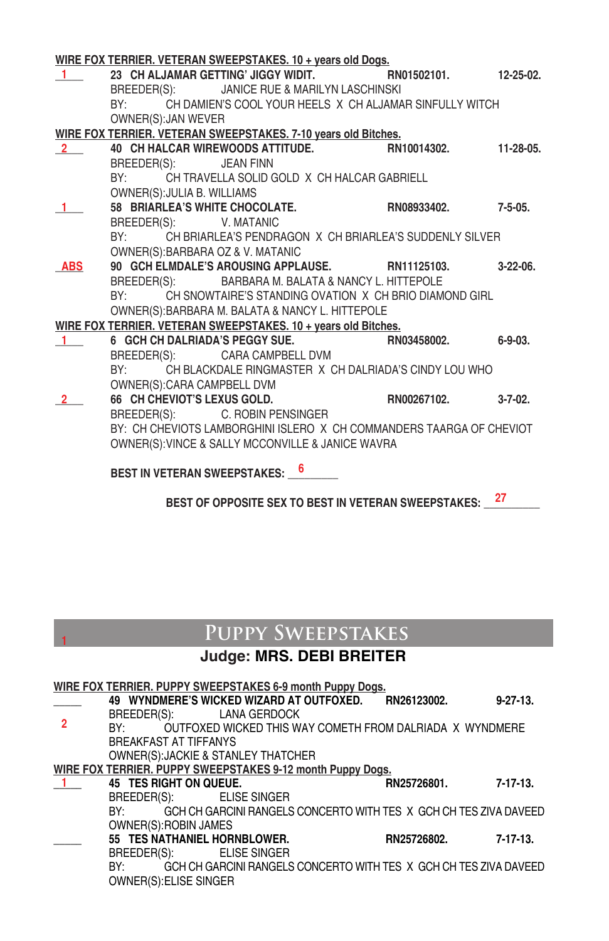|                               |                             | WIRE FOX TERRIER. VETERAN SWEEPSTAKES. 10 + years old Dogs.          |                |
|-------------------------------|-----------------------------|----------------------------------------------------------------------|----------------|
| $\mathbf{1}$ and $\mathbf{1}$ |                             | 23 CH ALJAMAR GETTING' JIGGY WIDIT. RN01502101. 12-25-02.            |                |
|                               |                             | BREEDER(S): JANICE RUE & MARILYN LASCHINSKI                          |                |
|                               |                             | BY: CH DAMIEN'S COOL YOUR HEELS X CH ALJAMAR SINFULLY WITCH          |                |
|                               | OWNER(S): JAN WEVER         |                                                                      |                |
|                               |                             | WIRE FOX TERRIER. VETERAN SWEEPSTAKES. 7-10 years old Bitches.       |                |
| $\mathbf{2}$                  |                             | 40 CH HALCAR WIREWOODS ATTITUDE. RN10014302.                         | 11-28-05.      |
|                               | BREEDER(S): JEAN FINN       |                                                                      |                |
|                               |                             | BY: CH TRAVELLA SOLID GOLD X CH HALCAR GABRIELL                      |                |
|                               | OWNER(S): JULIA B. WILLIAMS |                                                                      |                |
|                               |                             | 58 BRIARLEA'S WHITE CHOCOLATE. RN08933402.                           | $7 - 5 - 05$ . |
|                               | BREEDER(S): V. MATANIC      |                                                                      |                |
|                               |                             | BY: CH BRIARLEA'S PENDRAGON X CH BRIARLEA'S SUDDENLY SILVER          |                |
|                               |                             | OWNER(S): BARBARA OZ & V. MATANIC                                    |                |
| <b>ABS</b>                    |                             | 90 GCH ELMDALE'S AROUSING APPLAUSE. RN11125103.                      | $3-22-06$ .    |
|                               |                             | BREEDER(S): BARBARA M. BALATA & NANCY L. HITTEPOLE                   |                |
|                               |                             | BY: CH SNOWTAIRE'S STANDING OVATION X CH BRIO DIAMOND GIRL           |                |
|                               |                             | OWNER(S): BARBARA M. BALATA & NANCY L. HITTEPOLE                     |                |
|                               |                             | WIRE FOX TERRIER. VETERAN SWEEPSTAKES. 10 + years old Bitches.       |                |
| $\sim$ 1                      |                             | 6 GCH CH DALRIADA'S PEGGY SUE. RN03458002.                           | $6 - 9 - 03$ . |
|                               |                             | BREEDER(S): CARA CAMPBELL DVM                                        |                |
|                               |                             | BY: CH BLACKDALE RINGMASTER X CH DALRIADA'S CINDY LOU WHO            |                |
|                               | OWNER(S): CARA CAMPBELL DVM |                                                                      |                |
|                               |                             | 66 CH CHEVIOT'S LEXUS GOLD. RN00267102.                              | $3 - 7 - 02$ . |
|                               |                             | BREEDER(S): C. ROBIN PENSINGER                                       |                |
|                               |                             | BY: CH CHEVIOTS LAMBORGHINI ISLERO X CH COMMANDERS TAARGA OF CHEVIOT |                |
|                               |                             | OWNER(S): VINCE & SALLY MCCONVILLE & JANICE WAVRA                    |                |
|                               |                             |                                                                      |                |
|                               |                             | 6<br><b>BEST IN VETERAN SWEEPSTAKES:</b>                             |                |

BEST OF OPPOSITE SEX TO BEST IN VETERAN SWEEPSTAKES: \_\_\_\_\_\_\_\_\_

# **Puppy Sweepstakes**

**1**

### **Judge: MRS. DEBI BREITER**

|                |                                                                                                                                                                                                                                |                                     | WIRE FOX TERRIER. PUPPY SWEEPSTAKES 6-9 month Puppy Dogs.  |                                                                       |                 |
|----------------|--------------------------------------------------------------------------------------------------------------------------------------------------------------------------------------------------------------------------------|-------------------------------------|------------------------------------------------------------|-----------------------------------------------------------------------|-----------------|
|                |                                                                                                                                                                                                                                |                                     | 49 WYNDMERE'S WICKED WIZARD AT OUTFOXED.                   | RN26123002.                                                           | $9 - 27 - 13$ . |
| $\overline{2}$ | BREEDER(S):                                                                                                                                                                                                                    | LANA GERDOCK                        |                                                            |                                                                       |                 |
|                | BY: and the set of the set of the set of the set of the set of the set of the set of the set of the set of the set of the set of the set of the set of the set of the set of the set of the set of the set of the set of the s |                                     |                                                            | OUTFOXED WICKED THIS WAY COMETH FROM DALRIADA X WYNDMERE              |                 |
|                | <b>BREAKFAST AT TIFFANYS</b>                                                                                                                                                                                                   |                                     |                                                            |                                                                       |                 |
|                |                                                                                                                                                                                                                                | OWNER(S): JACKIE & STANLEY THATCHER |                                                            |                                                                       |                 |
|                |                                                                                                                                                                                                                                |                                     | WIRE FOX TERRIER. PUPPY SWEEPSTAKES 9-12 month Puppy Dogs. |                                                                       |                 |
|                | 45 TES RIGHT ON QUEUE.                                                                                                                                                                                                         |                                     |                                                            | RN25726801.                                                           | 7-17-13.        |
|                |                                                                                                                                                                                                                                | BREEDER(S): ELISE SINGER            |                                                            |                                                                       |                 |
|                |                                                                                                                                                                                                                                |                                     |                                                            | BY: GCH CH GARCINI RANGELS CONCERTO WITH TES X GCH CH TES ZIVA DAVEED |                 |
|                | OWNER(S): ROBIN JAMES                                                                                                                                                                                                          |                                     |                                                            |                                                                       |                 |
|                |                                                                                                                                                                                                                                | 55 TES NATHANIEL HORNBLOWER.        |                                                            | RN25726802.                                                           | 7-17-13.        |
|                | BREEDER(S):                                                                                                                                                                                                                    | <b>ELISE SINGER</b>                 |                                                            |                                                                       |                 |
|                | BY:                                                                                                                                                                                                                            |                                     |                                                            | GCH CH GARCINI RANGELS CONCERTO WITH TES X GCH CH TES ZIVA DAVEED     |                 |
|                | OWNER(S): ELISE SINGER                                                                                                                                                                                                         |                                     |                                                            |                                                                       |                 |
|                |                                                                                                                                                                                                                                |                                     |                                                            |                                                                       |                 |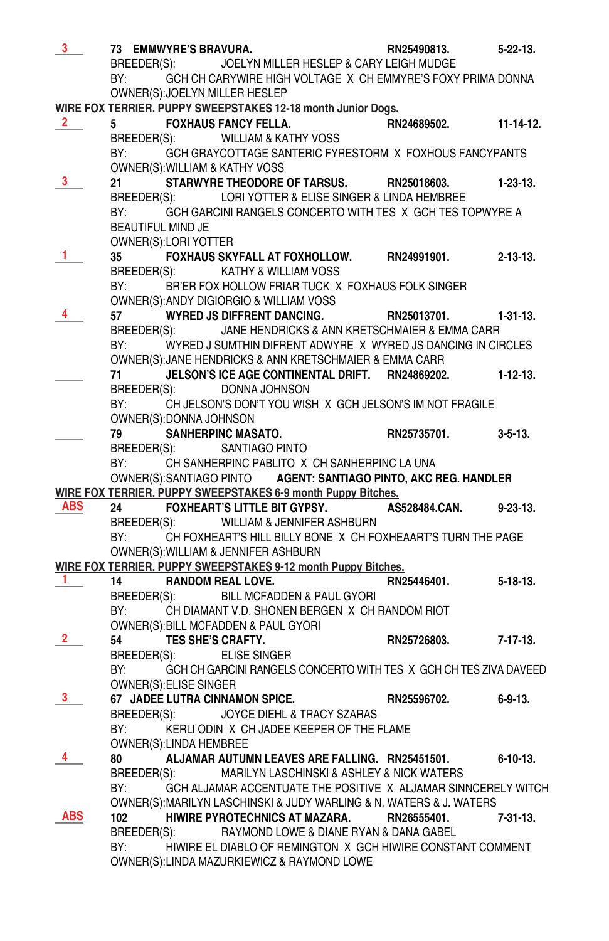| 3 <sup>7</sup> |                                                                                                                | 73 EMMWYRE'S BRAVURA.   |                                                                                           | RN25490813. | $5 - 22 - 13$ .  |
|----------------|----------------------------------------------------------------------------------------------------------------|-------------------------|-------------------------------------------------------------------------------------------|-------------|------------------|
|                |                                                                                                                |                         | BREEDER(S): JOELYN MILLER HESLEP & CARY LEIGH MUDGE                                       |             |                  |
|                | BY:                                                                                                            |                         | GCH CH CARYWIRE HIGH VOLTAGE X CH EMMYRE'S FOXY PRIMA DONNA                               |             |                  |
|                |                                                                                                                |                         | OWNER(S): JOELYN MILLER HESLEP                                                            |             |                  |
|                |                                                                                                                |                         | WIRE FOX TERRIER. PUPPY SWEEPSTAKES 12-18 month Junior Dogs.                              |             |                  |
| $\mathbf{2}$   |                                                                                                                |                         | <b>FOXHAUS FANCY FELLA.</b>                                                               | RN24689502. | $11 - 14 - 12$ . |
|                |                                                                                                                |                         | BREEDER(S): WILLIAM & KATHY VOSS                                                          |             |                  |
|                | BY:                                                                                                            |                         | GCH GRAYCOTTAGE SANTERIC FYRESTORM X FOXHOUS FANCYPANTS                                   |             |                  |
|                | 21                                                                                                             |                         | OWNER(S): WILLIAM & KATHY VOSS<br>STARWYRE THEODORE OF TARSUS. RN25018603.                |             | $1-23-13.$       |
|                | BREEDER(S):                                                                                                    |                         | LORI YOTTER & ELISE SINGER & LINDA HEMBREE                                                |             |                  |
|                | BY:                                                                                                            |                         | GCH GARCINI RANGELS CONCERTO WITH TES X GCH TES TOPWYRE A                                 |             |                  |
|                | BEAUTIFUL MIND JE                                                                                              |                         |                                                                                           |             |                  |
|                |                                                                                                                | OWNER(S):LORI YOTTER    |                                                                                           |             |                  |
| 1.             | 35                                                                                                             |                         | FOXHAUS SKYFALL AT FOXHOLLOW. RN24991901.                                                 |             | $2 - 13 - 13$ .  |
|                | BREEDER(S):                                                                                                    |                         | KATHY & WILLIAM VOSS                                                                      |             |                  |
|                | BY:                                                                                                            |                         | BR'ER FOX HOLLOW FRIAR TUCK X FOXHAUS FOLK SINGER                                         |             |                  |
|                |                                                                                                                |                         | OWNER(S): ANDY DIGIORGIO & WILLIAM VOSS                                                   |             |                  |
| 4              | 57                                                                                                             |                         | <b>WYRED JS DIFFRENT DANCING.</b>                                                         | RN25013701. | $1-31-13.$       |
|                | BREEDER(S):                                                                                                    |                         | JANE HENDRICKS & ANN KRETSCHMAIER & EMMA CARR                                             |             |                  |
|                | BY:                                                                                                            |                         | WYRED J SUMTHIN DIFRENT ADWYRE X WYRED JS DANCING IN CIRCLES                              |             |                  |
|                |                                                                                                                |                         | OWNER(S): JANE HENDRICKS & ANN KRETSCHMAIER & EMMA CARR                                   |             |                  |
|                | 71                                                                                                             |                         | JELSON'S ICE AGE CONTINENTAL DRIFT. RN24869202.                                           |             | $1 - 12 - 13$ .  |
|                |                                                                                                                |                         | BREEDER(S): DONNA JOHNSON                                                                 |             |                  |
|                | BY:                                                                                                            | OWNER(S): DONNA JOHNSON | CH JELSON'S DON'T YOU WISH X GCH JELSON'S IM NOT FRAGILE                                  |             |                  |
|                | 79                                                                                                             |                         | <b>SANHERPINC MASATO.</b>                                                                 | RN25735701. | $3 - 5 - 13$ .   |
|                |                                                                                                                |                         | BREEDER(S): SANTIAGO PINTO                                                                |             |                  |
|                | BY: and the state of the state of the state of the state of the state of the state of the state of the state o |                         | CH SANHERPINC PABLITO X CH SANHERPINC LA UNA                                              |             |                  |
|                |                                                                                                                |                         | OWNER(S): SANTIAGO PINTO AGENT: SANTIAGO PINTO, AKC REG. HANDLER                          |             |                  |
|                |                                                                                                                |                         | WIRE FOX TERRIER. PUPPY SWEEPSTAKES 6-9 month Puppy Bitches.                              |             |                  |
| <b>ABS</b>     |                                                                                                                |                         | FOXHEART'S LITTLE BIT GYPSY. AS528484.CAN.                                                |             | $9 - 23 - 13$ .  |
|                |                                                                                                                |                         | BREEDER(S): WILLIAM & JENNIFER ASHBURN                                                    |             |                  |
|                |                                                                                                                |                         | BY: CH FOXHEART'S HILL BILLY BONE X CH FOXHEAART'S TURN THE PAGE                          |             |                  |
|                |                                                                                                                |                         | OWNER(S): WILLIAM & JENNIFER ASHBURN                                                      |             |                  |
|                |                                                                                                                |                         | WIRE FOX TERRIER. PUPPY SWEEPSTAKES 9-12 month Puppy Bitches.                             |             |                  |
| 1.             | 14                                                                                                             |                         | <b>RANDOM REAL LOVE.</b>                                                                  | RN25446401. | $5 - 18 - 13$ .  |
|                |                                                                                                                |                         | BREEDER(S): BILL MCFADDEN & PAUL GYORI                                                    |             |                  |
|                |                                                                                                                |                         | BY: CH DIAMANT V.D. SHONEN BERGEN X CH RANDOM RIOT<br>OWNER(S):BILL MCFADDEN & PAUL GYORI |             |                  |
| 2              | 54                                                                                                             | TES SHE'S CRAFTY.       |                                                                                           | RN25726803. | $7 - 17 - 13$ .  |
|                | BREEDER(S):                                                                                                    |                         | <b>ELISE SINGER</b>                                                                       |             |                  |
|                | BY:                                                                                                            |                         | GCH CH GARCINI RANGELS CONCERTO WITH TES X GCH CH TES ZIVA DAVEED                         |             |                  |
|                |                                                                                                                | OWNER(S): ELISE SINGER  |                                                                                           |             |                  |
| 3.             |                                                                                                                |                         | 67 JADEE LUTRA CINNAMON SPICE.                                                            | RN25596702. | $6 - 9 - 13$ .   |
|                | BREEDER(S):                                                                                                    |                         | JOYCE DIEHL & TRACY SZARAS                                                                |             |                  |
|                |                                                                                                                |                         | BY: KERLI ODIN X CH JADEE KEEPER OF THE FLAME                                             |             |                  |
|                |                                                                                                                | OWNER(S): LINDA HEMBREE |                                                                                           |             |                  |
| 4              | 80                                                                                                             |                         | ALJAMAR AUTUMN LEAVES ARE FALLING. RN25451501.                                            |             | $6 - 10 - 13$ .  |
|                | BREEDER(S):                                                                                                    |                         | MARILYN LASCHINSKI & ASHLEY & NICK WATERS                                                 |             |                  |
|                | BY:                                                                                                            |                         | GCH ALJAMAR ACCENTUATE THE POSITIVE X ALJAMAR SINNCERELY WITCH                            |             |                  |
|                |                                                                                                                |                         | OWNER(S): MARILYN LASCHINSKI & JUDY WARLING & N. WATERS & J. WATERS                       |             |                  |
| ABS            | 102                                                                                                            |                         | HIWIRE PYROTECHNICS AT MAZARA.                                                            | RN26555401. | 7-31-13.         |
|                | BREEDER(S):                                                                                                    |                         | RAYMOND LOWE & DIANE RYAN & DANA GABEL                                                    |             |                  |
|                | BY:                                                                                                            |                         | HIWIRE EL DIABLO OF REMINGTON X GCH HIWIRE CONSTANT COMMENT                               |             |                  |
|                |                                                                                                                |                         | OWNER(S):LINDA MAZURKIEWICZ & RAYMOND LOWE                                                |             |                  |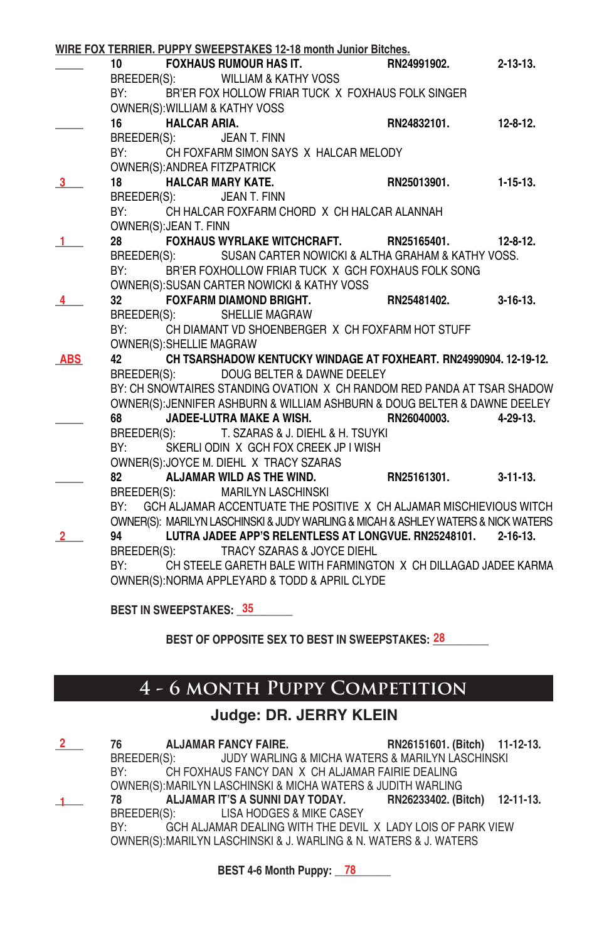|            |                 |                          | WIRE FOX TERRIER. PUPPY SWEEPSTAKES 12-18 month Junior Bitches.                   |             |                 |
|------------|-----------------|--------------------------|-----------------------------------------------------------------------------------|-------------|-----------------|
|            |                 |                          | 10 FOXHAUS RUMOUR HAS IT.                                                         | RN24991902. | $2 - 13 - 13$ . |
|            |                 |                          | BREEDER(S): WILLIAM & KATHY VOSS                                                  |             |                 |
|            | BY:             |                          | BR'ER FOX HOLLOW FRIAR TUCK X FOXHAUS FOLK SINGER                                 |             |                 |
|            |                 |                          | OWNER(S): WILLIAM & KATHY VOSS                                                    |             |                 |
|            | 16              | <b>HALCAR ARIA.</b>      |                                                                                   | RN24832101. | $12 - 8 - 12$ . |
|            |                 |                          | BREEDER(S): JEAN T. FINN                                                          |             |                 |
|            | BY:             |                          | CH FOXFARM SIMON SAYS X HALCAR MELODY                                             |             |                 |
|            |                 |                          | <b>OWNER(S): ANDREA FITZPATRICK</b>                                               |             |                 |
|            | 18              |                          | <b>HALCAR MARY KATE.</b>                                                          | RN25013901. | $1 - 15 - 13$ . |
|            |                 |                          | BREEDER(S): JEAN T. FINN                                                          |             |                 |
|            | BY:             |                          | CH HALCAR FOXFARM CHORD X CH HALCAR ALANNAH                                       |             |                 |
|            |                 | OWNER(S): JEAN T. FINN   |                                                                                   |             |                 |
|            | 28              |                          |                                                                                   |             | $12 - 8 - 12$ . |
|            |                 |                          | BREEDER(S): SUSAN CARTER NOWICKI & ALTHA GRAHAM & KATHY VOSS.                     |             |                 |
|            | BY:             |                          | BR'ER FOXHOLLOW FRIAR TUCK X GCH FOXHAUS FOLK SONG                                |             |                 |
|            |                 |                          | OWNER(S): SUSAN CARTER NOWICKI & KATHY VOSS                                       |             |                 |
|            | 32 <sub>2</sub> |                          | FOXFARM DIAMOND BRIGHT.                                                           | RN25481402. | $3 - 16 - 13$ . |
|            |                 |                          | BREEDER(S): SHELLIE MAGRAW                                                        |             |                 |
|            | BY:             |                          | CH DIAMANT VD SHOENBERGER X CH FOXFARM HOT STUFF                                  |             |                 |
|            |                 | OWNER(S): SHELLIE MAGRAW |                                                                                   |             |                 |
| <b>ABS</b> | 42              |                          | CH TSARSHADOW KENTUCKY WINDAGE AT FOXHEART. RN24990904. 12-19-12.                 |             |                 |
|            |                 |                          | BREEDER(S): DOUG BELTER & DAWNE DEELEY                                            |             |                 |
|            |                 |                          | BY: CH SNOWTAIRES STANDING OVATION X CH RANDOM RED PANDA AT TSAR SHADOW           |             |                 |
|            |                 |                          | OWNER(S): JENNIFER ASHBURN & WILLIAM ASHBURN & DOUG BELTER & DAWNE DEELEY         |             |                 |
|            |                 |                          | JADEE-LUTRA MAKE A WISH. RN26040003.                                              |             | $4 - 29 - 13$   |
|            |                 |                          | BREEDER(S): T. SZARAS & J. DIEHL & H. TSUYKI                                      |             |                 |
|            |                 |                          | BY: SKERLIODIN X GCH FOX CREEK JP I WISH                                          |             |                 |
|            |                 |                          | OWNER(S): JOYCE M. DIEHL X TRACY SZARAS                                           |             |                 |
|            |                 |                          | 82 ALJAMAR WILD AS THE WIND.                                                      | RN25161301. | $3 - 11 - 13$   |
|            |                 |                          | BREEDER(S): MARILYN LASCHINSKI                                                    |             |                 |
|            |                 |                          | BY: GCH ALJAMAR ACCENTUATE THE POSITIVE X CH ALJAMAR MISCHIEVIOUS WITCH           |             |                 |
|            |                 |                          | OWNER(S): MARILYN LASCHINSKI & JUDY WARLING & MICAH & ASHLEY WATERS & NICK WATERS |             |                 |
|            | 94 7            |                          | LUTRA JADEE APP'S RELENTLESS AT LONGVUE. RN25248101. 2-16-13.                     |             |                 |
|            |                 |                          | BREEDER(S): TRACY SZARAS & JOYCE DIEHL                                            |             |                 |
|            | BY:             |                          | CH STEELE GARETH BALE WITH FARMINGTON X CH DILLAGAD JADEE KARMA                   |             |                 |
|            |                 |                          | OWNER(S): NORMA APPLEYARD & TODD & APRIL CLYDE                                    |             |                 |
|            |                 |                          |                                                                                   |             |                 |

**BEST IN SWEEPSTAKES: \_\_\_\_\_\_\_\_\_\_ 35**

BEST OF OPPOSITE SEX TO BEST IN SWEEPSTAKES: 28

# **4 - 6 month Puppy Competition**

### **Judge: DR. JERRY KLEIN**

| RN26151601. (Bitch) 11-12-13.                                     |
|-------------------------------------------------------------------|
| BREEDER(S): JUDY WARLING & MICHA WATERS & MARILYN LASCHINSKI      |
| CH FOXHAUS FANCY DAN X CH ALJAMAR FAIRIE DEALING                  |
| OWNER(S): MARILYN LASCHINSKI & MICHA WATERS & JUDITH WARLING      |
| ALJAMAR IT'S A SUNNI DAY TODAY. RN26233402. (Bitch) 12-11-13.     |
|                                                                   |
| GCH ALJAMAR DEALING WITH THE DEVIL X LADY LOIS OF PARK VIEW       |
| OWNER(S): MARILYN LASCHINSKI & J. WARLING & N. WATERS & J. WATERS |
|                                                                   |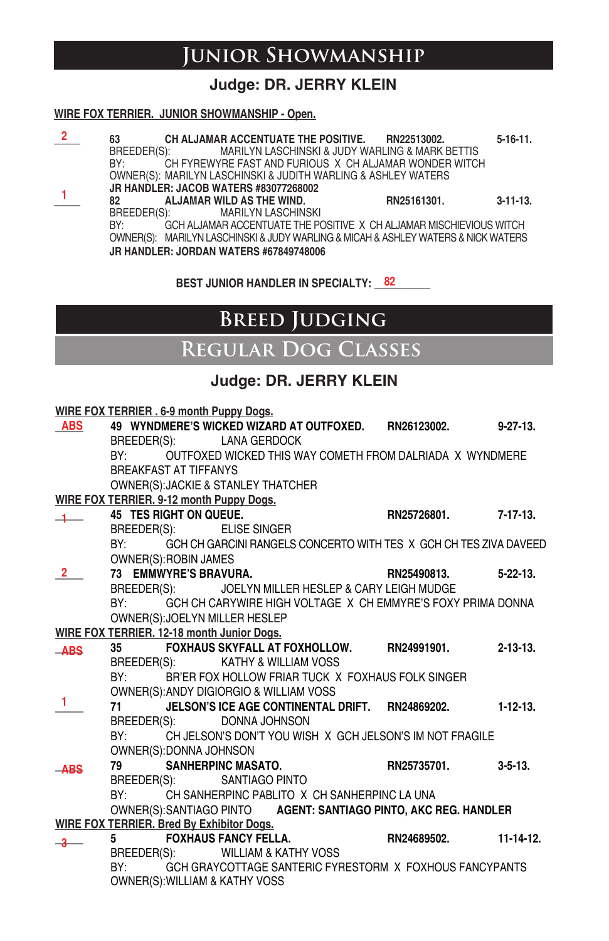# **Junior Showmanship**

### **Judge: DR. JERRY KLEIN**

#### **WIRE FOX TERRIER. JUNIOR SHOWMANSHIP - Open.**

| 63          | CH ALJAMAR ACCENTUATE THE POSITIVE. RN22513002.                                   |                                                 | $5-16-11.$      |
|-------------|-----------------------------------------------------------------------------------|-------------------------------------------------|-----------------|
| BREEDER(S): |                                                                                   | MARILYN LASCHINSKI & JUDY WARLING & MARK BETTIS |                 |
| BY:         | CH FYREWYRE FAST AND FURIOUS X CH ALJAMAR WONDER WITCH                            |                                                 |                 |
|             | OWNER(S): MARILYN LASCHINSKI & JUDITH WARLING & ASHLEY WATERS                     |                                                 |                 |
|             | JR HANDLER: JACOB WATERS #83077268002                                             |                                                 |                 |
| 82          | ALJAMAR WILD AS THE WIND.                                                         | RN25161301.                                     | $3 - 11 - 13$ . |
| BREEDER(S): | <b>MARILYN LASCHINSKI</b>                                                         |                                                 |                 |
| BY:         | GCH ALJAMAR ACCENTUATE THE POSITIVE X CH ALJAMAR MISCHIEVIOUS WITCH               |                                                 |                 |
|             | OWNER(S): MARILYN LASCHINSKI & JUDY WARLING & MICAH & ASHLEY WATERS & NICK WATERS |                                                 |                 |
|             | JR HANDLER: JORDAN WATERS #67849748006                                            |                                                 |                 |

**BEST JUNIOR HANDLER IN SPECIALTY: \_\_\_\_\_\_\_\_\_\_ 82**

# **Breed Judging**

### **Regular Dog Classes**

### **Judge: DR. JERRY KLEIN**

|              |                               | WIRE FOX TERRIER . 6-9 month Puppy Dogs.                              |                      |                  |
|--------------|-------------------------------|-----------------------------------------------------------------------|----------------------|------------------|
| <b>ABS</b>   |                               | 49 WYNDMERE'S WICKED WIZARD AT OUTFOXED. RN26123002. 9-27-13.         |                      |                  |
|              |                               | BREEDER(S): LANA GERDOCK                                              |                      |                  |
|              |                               | BY: OUTFOXED WICKED THIS WAY COMETH FROM DALRIADA X WYNDMERE          |                      |                  |
|              | <b>BREAKFAST AT TIFFANYS</b>  |                                                                       |                      |                  |
|              |                               | OWNER(S): JACKIE & STANLEY THATCHER                                   |                      |                  |
|              |                               | WIRE FOX TERRIER. 9-12 month Puppy Dogs.                              |                      |                  |
| $+$          | <b>45 TES RIGHT ON QUEUE.</b> |                                                                       | RN25726801. 7-17-13. |                  |
|              |                               | BREEDER(S): ELISE SINGER                                              |                      |                  |
|              |                               | BY: GCH CH GARCINI RANGELS CONCERTO WITH TES X GCH CH TES ZIVA DAVEED |                      |                  |
|              | OWNER(S): ROBIN JAMES         |                                                                       |                      |                  |
| 2            | 73 EMMWYRE'S BRAVURA.         | RN25490813. 5-22-13.                                                  |                      |                  |
|              |                               | BREEDER(S): JOELYN MILLER HESLEP & CARY LEIGH MUDGE                   |                      |                  |
|              |                               | BY: GCH CH CARYWIRE HIGH VOLTAGE X CH EMMYRE'S FOXY PRIMA DONNA       |                      |                  |
|              |                               | OWNER(S): JOELYN MILLER HESLEP                                        |                      |                  |
|              |                               | WIRE FOX TERRIER. 12-18 month Junior Dogs.                            |                      |                  |
| $-$ ABS      |                               | 35 FOXHAUS SKYFALL AT FOXHOLLOW. RN24991901. 2-13-13.                 |                      |                  |
|              |                               | BREEDER(S): KATHY & WILLIAM VOSS                                      |                      |                  |
|              |                               | BY: BR'ER FOX HOLLOW FRIAR TUCK X FOXHAUS FOLK SINGER                 |                      |                  |
| $\mathbf{1}$ |                               | OWNER(S): ANDY DIGIORGIO & WILLIAM VOSS                               |                      |                  |
|              |                               | 71 JELSON'S ICE AGE CONTINENTAL DRIFT. RN24869202. 1-12-13.           |                      |                  |
|              |                               | BREEDER(S): DONNA JOHNSON                                             |                      |                  |
|              |                               | BY: CHUELSON'S DON'T YOU WISH X GCHUELSON'S IM NOT FRAGILE            |                      |                  |
|              | OWNER(S): DONNA JOHNSON       |                                                                       |                      |                  |
| $-$ ABS      |                               | 79 SANHERPINC MASATO.                                                 | RN25735701.          | $3 - 5 - 13$ .   |
|              |                               | BREEDER(S): SANTIAGO PINTO                                            |                      |                  |
|              |                               | BY: CH SANHERPINC PABLITO X CH SANHERPINC LA UNA                      |                      |                  |
|              |                               | OWNER(S): SANTIAGO PINTO AGENT: SANTIAGO PINTO, AKC REG. HANDLER      |                      |                  |
|              |                               | WIRE FOX TERRIER. Bred By Exhibitor Dogs.                             |                      |                  |
| $-3$         |                               |                                                                       |                      | $11 - 14 - 12$ . |
|              |                               | BREEDER(S): WILLIAM & KATHY VOSS                                      |                      |                  |
|              |                               | BY: GCH GRAYCOTTAGE SANTERIC FYRESTORM X FOXHOUS FANCYPANTS           |                      |                  |
|              |                               | OWNER(S): WILLIAM & KATHY VOSS                                        |                      |                  |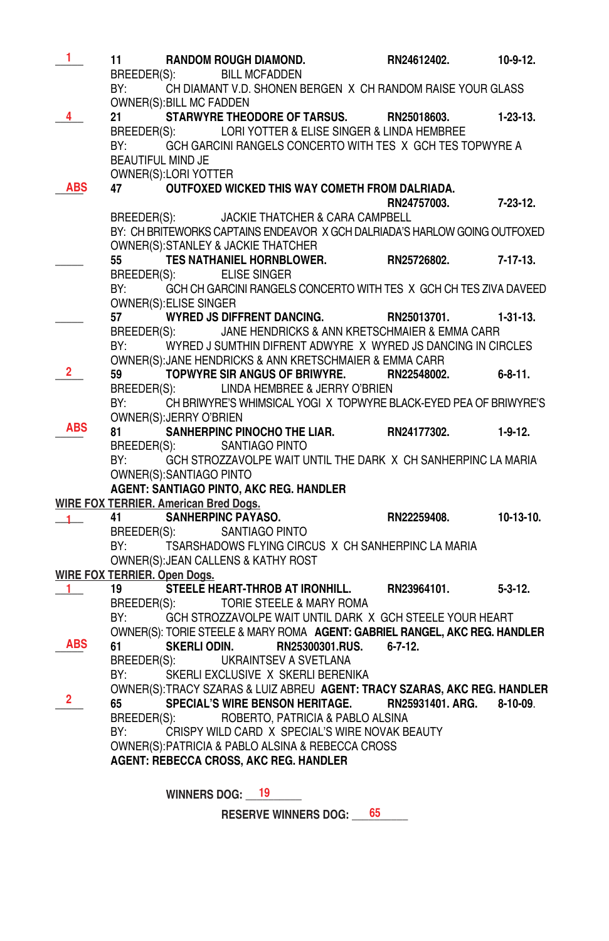| 1              | 11<br>BREEDER(S):        |                                              | RANDOM ROUGH DIAMOND.<br><b>BILL MCFADDEN</b>                                                                 | RN24612402.    | $10-9-12.$      |
|----------------|--------------------------|----------------------------------------------|---------------------------------------------------------------------------------------------------------------|----------------|-----------------|
|                | BY:                      |                                              | CH DIAMANT V.D. SHONEN BERGEN X CH RANDOM RAISE YOUR GLASS                                                    |                |                 |
| 4              | 21                       | OWNER(S): BILL MC FADDEN                     | STARWYRE THEODORE OF TARSUS. RN25018603.                                                                      |                | $1-23-13.$      |
|                | BREEDER(S):              |                                              | LORI YOTTER & ELISE SINGER & LINDA HEMBREE                                                                    |                |                 |
|                | BY:                      |                                              | GCH GARCINI RANGELS CONCERTO WITH TES X GCH TES TOPWYRE A                                                     |                |                 |
|                | <b>BEAUTIFUL MIND JE</b> |                                              |                                                                                                               |                |                 |
|                |                          | OWNER(S):LORI YOTTER                         |                                                                                                               |                |                 |
| ABS            | 47                       |                                              | OUTFOXED WICKED THIS WAY COMETH FROM DALRIADA.                                                                |                |                 |
|                |                          |                                              |                                                                                                               | RN24757003.    | $7 - 23 - 12$ . |
|                | BREEDER(S):              |                                              | JACKIE THATCHER & CARA CAMPBELL<br>BY: CH BRITEWORKS CAPTAINS ENDEAVOR X GCH DALRIADA'S HARLOW GOING OUTFOXED |                |                 |
|                |                          |                                              | OWNER(S): STANLEY & JACKIE THATCHER                                                                           |                |                 |
|                | 55                       |                                              | TES NATHANIEL HORNBLOWER.                                                                                     | RN25726802.    | $7 - 17 - 13$ . |
|                | BREEDER(S):              |                                              | <b>ELISE SINGER</b>                                                                                           |                |                 |
|                | BY:                      |                                              | GCH CH GARCINI RANGELS CONCERTO WITH TES X GCH CH TES ZIVA DAVEED                                             |                |                 |
|                |                          | <b>OWNER(S): ELISE SINGER</b>                |                                                                                                               |                |                 |
|                | 57                       |                                              | <b>WYRED JS DIFFRENT DANCING.</b>                                                                             | RN25013701.    | $1-31-13$ .     |
|                | BREEDER(S):              |                                              | JANE HENDRICKS & ANN KRETSCHMAIER & EMMA CARR                                                                 |                |                 |
|                | BY:                      |                                              | WYRED J SUMTHIN DIFRENT ADWYRE X WYRED JS DANCING IN CIRCLES                                                  |                |                 |
| $\mathbf{2}^-$ | 59                       |                                              | OWNER(S): JANE HENDRICKS & ANN KRETSCHMAIER & EMMA CARR<br>TOPWYRE SIR ANGUS OF BRIWYRE. RN22548002.          |                | $6 - 8 - 11$ .  |
|                |                          |                                              | BREEDER(S): LINDA HEMBREE & JERRY O'BRIEN                                                                     |                |                 |
|                | BY:                      |                                              | CH BRIWYRE'S WHIMSICAL YOGI X TOPWYRE BLACK-EYED PEA OF BRIWYRE'S                                             |                |                 |
|                |                          | OWNER(S): JERRY O'BRIEN                      |                                                                                                               |                |                 |
| ABS            | 81                       |                                              | SANHERPINC PINOCHO THE LIAR.                                                                                  | RN24177302.    | $1-9-12.$       |
|                | BREEDER(S):              |                                              | SANTIAGO PINTO                                                                                                |                |                 |
|                | BY:                      |                                              | GCH STROZZAVOLPE WAIT UNTIL THE DARK X CH SANHERPINC LA MARIA                                                 |                |                 |
|                |                          | OWNER(S): SANTIAGO PINTO                     |                                                                                                               |                |                 |
|                |                          |                                              | AGENT: SANTIAGO PINTO, AKC REG. HANDLER                                                                       |                |                 |
|                |                          | <b>WIRE FOX TERRIER. American Bred Dogs.</b> |                                                                                                               |                |                 |
| $1 -$          | 41                       |                                              | SANHERPINC PAYASO.                                                                                            | RN22259408.    | $10-13-10.$     |
|                |                          |                                              |                                                                                                               |                |                 |
|                |                          |                                              | BREEDER(S): SANTIAGO PINTO                                                                                    |                |                 |
|                | BY:                      |                                              | TSARSHADOWS FLYING CIRCUS X CH SANHERPINC LA MARIA                                                            |                |                 |
|                |                          |                                              | OWNER(S): JEAN CALLENS & KATHY ROST                                                                           |                |                 |
| 1              | 19                       | WIRE FOX TERRIER. Open Dogs.                 | STEELE HEART-THROB AT IRONHILL.                                                                               | RN23964101.    | $5 - 3 - 12$ .  |
|                | BREEDER(S):              |                                              | TORIE STEELE & MARY ROMA                                                                                      |                |                 |
|                | BY:                      |                                              | GCH STROZZAVOLPE WAIT UNTIL DARK X GCH STEELE YOUR HEART                                                      |                |                 |
|                |                          |                                              | OWNER(S): TORIE STEELE & MARY ROMA AGENT: GABRIEL RANGEL, AKC REG. HANDLER                                    |                |                 |
| ABS            | 61                       | SKERLI ODIN.                                 | RN25300301.RUS.                                                                                               | $6 - 7 - 12$ . |                 |
|                | BREEDER(S):              |                                              | UKRAINTSEV A SVETLANA                                                                                         |                |                 |
|                | BY:                      |                                              | SKERLI EXCLUSIVE X SKERLI BERENIKA                                                                            |                |                 |
|                |                          |                                              | OWNER(S): TRACY SZARAS & LUIZ ABREU AGENT: TRACY SZARAS, AKC REG. HANDLER                                     |                |                 |
| $\overline{2}$ | 65                       |                                              | SPECIAL'S WIRE BENSON HERITAGE. RN25931401. ARG. 8-10-09.                                                     |                |                 |
|                | BREEDER(S):              |                                              | ROBERTO, PATRICIA & PABLO ALSINA                                                                              |                |                 |
|                | BY:                      |                                              | CRISPY WILD CARD X SPECIAL'S WIRE NOVAK BEAUTY                                                                |                |                 |
|                |                          |                                              | OWNER(S): PATRICIA & PABLO ALSINA & REBECCA CROSS                                                             |                |                 |
|                |                          |                                              | <b>AGENT: REBECCA CROSS, AKC REG. HANDLER</b>                                                                 |                |                 |
|                |                          | <b>WINNERS DOG:</b>                          | 19                                                                                                            |                |                 |

RESERVE WINNERS DOG: \_\_\_\_65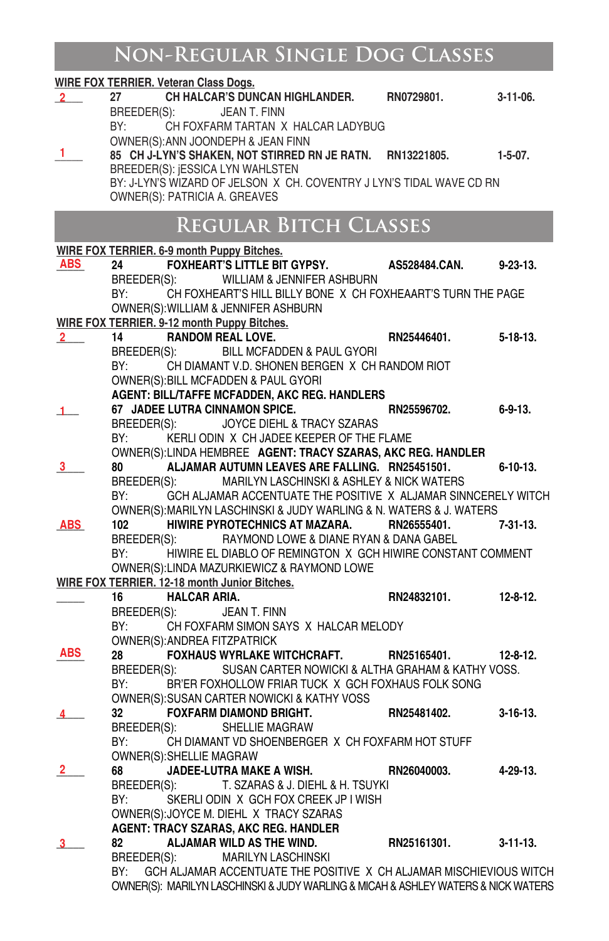# **Non-Regular Single Dog Classes**

|                                                                                   | <b>WIRE FOX TERRIER. Veteran Class Dogs.</b> |                                                                                                                |                      |                 |
|-----------------------------------------------------------------------------------|----------------------------------------------|----------------------------------------------------------------------------------------------------------------|----------------------|-----------------|
| $2^{\circ}$                                                                       | 27                                           | CH HALCAR'S DUNCAN HIGHLANDER.                                                                                 | RN0729801.           | $3-11-06$ .     |
|                                                                                   | BREEDER(S):                                  | JEAN T. FINN                                                                                                   |                      |                 |
|                                                                                   | BY:                                          | CH FOXFARM TARTAN X HALCAR LADYBUG                                                                             |                      |                 |
|                                                                                   |                                              | OWNER(S): ANN JOONDEPH & JEAN FINN                                                                             |                      |                 |
| 1                                                                                 |                                              | 85 CH J-LYN'S SHAKEN, NOT STIRRED RN JE RATN. RN13221805.                                                      |                      | $1 - 5 - 07$ .  |
|                                                                                   |                                              | BREEDER(S): ¡ESSICA LYN WAHLSTEN                                                                               |                      |                 |
|                                                                                   |                                              | BY: J-LYN'S WIZARD OF JELSON X CH. COVENTRY J LYN'S TIDAL WAVE CD RN                                           |                      |                 |
|                                                                                   | OWNER(S): PATRICIA A. GREAVES                |                                                                                                                |                      |                 |
|                                                                                   |                                              |                                                                                                                |                      |                 |
|                                                                                   |                                              | <b>REGULAR BITCH CLASSES</b>                                                                                   |                      |                 |
|                                                                                   | WIRE FOX TERRIER. 6-9 month Puppy Bitches.   |                                                                                                                |                      |                 |
| ABS                                                                               | 24                                           | <b>FOXHEART'S LITTLE BIT GYPSY.</b>                                                                            | <b>AS528484.CAN.</b> | $9 - 23 - 13$ . |
|                                                                                   |                                              | BREEDER(S): WILLIAM & JENNIFER ASHBURN                                                                         |                      |                 |
|                                                                                   | BY:                                          | CH FOXHEART'S HILL BILLY BONE X CH FOXHEAART'S TURN THE PAGE                                                   |                      |                 |
|                                                                                   |                                              | OWNER(S): WILLIAM & JENNIFER ASHBURN                                                                           |                      |                 |
|                                                                                   |                                              | WIRE FOX TERRIER. 9-12 month Puppy Bitches.                                                                    |                      |                 |
| $2$ $-$                                                                           | 14                                           | <b>RANDOM REAL LOVE.</b>                                                                                       | RN25446401.          | $5 - 18 - 13$ . |
|                                                                                   | BREEDER(S):                                  | BILL MCFADDEN & PAUL GYORI                                                                                     |                      |                 |
|                                                                                   | BY:                                          | CH DIAMANT V.D. SHONEN BERGEN X CH RANDOM RIOT                                                                 |                      |                 |
|                                                                                   |                                              | OWNER(S): BILL MCFADDEN & PAUL GYORI                                                                           |                      |                 |
|                                                                                   |                                              | AGENT: BILL/TAFFE MCFADDEN, AKC REG. HANDLERS                                                                  |                      |                 |
|                                                                                   |                                              | 67 JADEE LUTRA CINNAMON SPICE.                                                                                 | RN25596702.          | $6 - 9 - 13$ .  |
| $\mathbf{1}$                                                                      | BREEDER(S):                                  | JOYCE DIEHL & TRACY SZARAS                                                                                     |                      |                 |
|                                                                                   | BY:                                          | KERLI ODIN X CH JADEE KEEPER OF THE FLAME                                                                      |                      |                 |
|                                                                                   |                                              |                                                                                                                |                      |                 |
|                                                                                   |                                              | OWNER(S):LINDA HEMBREE AGENT: TRACY SZARAS, AKC REG. HANDLER<br>ALJAMAR AUTUMN LEAVES ARE FALLING. RN25451501. |                      |                 |
| 3                                                                                 | 80                                           | BREEDER(S): MARILYN LASCHINSKI & ASHLEY & NICK WATERS                                                          |                      | $6 - 10 - 13$ . |
|                                                                                   |                                              | GCH ALJAMAR ACCENTUATE THE POSITIVE X ALJAMAR SINNCERELY WITCH                                                 |                      |                 |
|                                                                                   | BY:                                          |                                                                                                                |                      |                 |
|                                                                                   |                                              | OWNER(S): MARILYN LASCHINSKI & JUDY WARLING & N. WATERS & J. WATERS                                            |                      |                 |
| <b>ABS</b>                                                                        | 102                                          | HIWIRE PYROTECHNICS AT MAZARA.                                                                                 | RN26555401.          | $7-31-13.$      |
|                                                                                   | BREEDER(S):                                  | RAYMOND LOWE & DIANE RYAN & DANA GABEL                                                                         |                      |                 |
|                                                                                   | BY:                                          | HIWIRE EL DIABLO OF REMINGTON X GCH HIWIRE CONSTANT COMMENT                                                    |                      |                 |
|                                                                                   |                                              | OWNER(S): LINDA MAZURKIEWICZ & RAYMOND LOWE                                                                    |                      |                 |
|                                                                                   |                                              | WIRE FOX TERRIER. 12-18 month Junior Bitches.                                                                  |                      |                 |
|                                                                                   | 16                                           | <b>HALCAR ARIA.</b>                                                                                            | RN24832101.          | $12 - 8 - 12$ . |
|                                                                                   |                                              | BREEDER(S): JEAN T. FINN                                                                                       |                      |                 |
|                                                                                   | BY:                                          | CH FOXFARM SIMON SAYS X HALCAR MELODY                                                                          |                      |                 |
| <b>ABS</b>                                                                        | OWNER(S): ANDREA FITZPATRICK                 |                                                                                                                |                      |                 |
|                                                                                   | 28                                           | <b>FOXHAUS WYRLAKE WITCHCRAFT.</b>                                                                             | RN25165401.          | $12 - 8 - 12$ . |
|                                                                                   | BREEDER(S):                                  | SUSAN CARTER NOWICKI & ALTHA GRAHAM & KATHY VOSS.                                                              |                      |                 |
|                                                                                   | BY:                                          | BR'ER FOXHOLLOW FRIAR TUCK X GCH FOXHAUS FOLK SONG                                                             |                      |                 |
|                                                                                   |                                              | OWNER(S): SUSAN CARTER NOWICKI & KATHY VOSS                                                                    |                      |                 |
|                                                                                   | 32                                           | <b>FOXFARM DIAMOND BRIGHT.</b>                                                                                 | RN25481402.          | $3 - 16 - 13$ . |
|                                                                                   | BREEDER(S):                                  | SHELLIE MAGRAW                                                                                                 |                      |                 |
|                                                                                   | BY:                                          | CH DIAMANT VD SHOENBERGER X CH FOXFARM HOT STUFF                                                               |                      |                 |
|                                                                                   | OWNER(S): SHELLIE MAGRAW                     |                                                                                                                |                      |                 |
| 2                                                                                 | 68                                           | JADEE-LUTRA MAKE A WISH.                                                                                       | RN26040003.          | 4-29-13.        |
|                                                                                   | BREEDER(S):                                  | T. SZARAS & J. DIEHL & H. TSUYKI                                                                               |                      |                 |
|                                                                                   | BY:                                          | SKERLI ODIN X GCH FOX CREEK JP I WISH                                                                          |                      |                 |
|                                                                                   |                                              | OWNER(S): JOYCE M. DIEHL X TRACY SZARAS                                                                        |                      |                 |
|                                                                                   |                                              | <b>AGENT: TRACY SZARAS, AKC REG. HANDLER</b>                                                                   |                      |                 |
| 3                                                                                 | 82                                           | ALJAMAR WILD AS THE WIND.                                                                                      | RN25161301.          | $3 - 11 - 13$ . |
|                                                                                   | BREEDER(S):                                  | <b>MARILYN LASCHINSKI</b>                                                                                      |                      |                 |
|                                                                                   | BY:                                          | GCH ALJAMAR ACCENTUATE THE POSITIVE X CH ALJAMAR MISCHIEVIOUS WITCH                                            |                      |                 |
| OWNER(S): MARILYN LASCHINSKI & JUDY WARLING & MICAH & ASHLEY WATERS & NICK WATERS |                                              |                                                                                                                |                      |                 |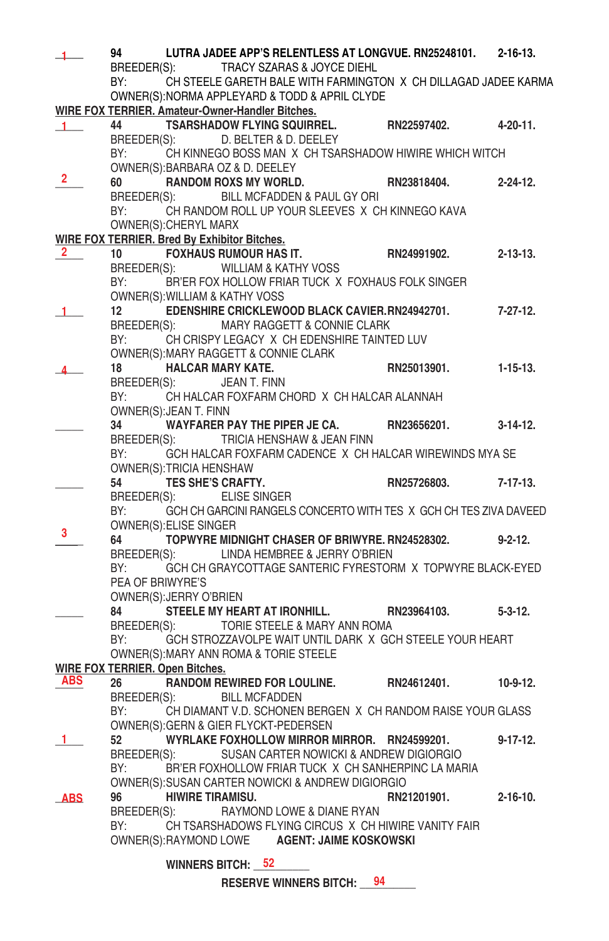|                | 94                                                                                                             |                          | LUTRA JADEE APP'S RELENTLESS AT LONGVUE. RN25248101. 2-16-13.<br>BREEDER(S): TRACY SZARAS & JOYCE DIEHL |             |                 |
|----------------|----------------------------------------------------------------------------------------------------------------|--------------------------|---------------------------------------------------------------------------------------------------------|-------------|-----------------|
|                | BY:                                                                                                            |                          | CH STEELE GARETH BALE WITH FARMINGTON X CH DILLAGAD JADEE KARMA                                         |             |                 |
|                |                                                                                                                |                          | OWNER(S): NORMA APPLEYARD & TODD & APRIL CLYDE                                                          |             |                 |
|                |                                                                                                                |                          | WIRE FOX TERRIER. Amateur-Owner-Handler Bitches.                                                        |             |                 |
| 1 <sup>1</sup> | 44                                                                                                             |                          | <b>TSARSHADOW FLYING SQUIRREL.</b>                                                                      | RN22597402. | 4-20-11.        |
|                | BREEDER(S):                                                                                                    |                          | D. BELTER & D. DEELEY                                                                                   |             |                 |
|                | BY:                                                                                                            |                          | CH KINNEGO BOSS MAN X CH TSARSHADOW HIWIRE WHICH WITCH                                                  |             |                 |
|                |                                                                                                                |                          | OWNER(S): BARBARA OZ & D. DEELEY                                                                        |             |                 |
| 2.             | 60                                                                                                             |                          | RN23818404.<br><b>RANDOM ROXS MY WORLD.</b>                                                             |             | $2 - 24 - 12$ . |
|                |                                                                                                                |                          | BREEDER(S): BILL MCFADDEN & PAUL GY ORI                                                                 |             |                 |
|                |                                                                                                                |                          | BY: CH RANDOM ROLL UP YOUR SLEEVES X CH KINNEGO KAVA                                                    |             |                 |
|                | OWNER(S): CHERYL MARX                                                                                          |                          |                                                                                                         |             |                 |
|                |                                                                                                                |                          | WIRE FOX TERRIER. Bred By Exhibitor Bitches.                                                            |             |                 |
| 2.             |                                                                                                                |                          |                                                                                                         | RN24991902. |                 |
|                | 10                                                                                                             |                          | <b>FOXHAUS RUMOUR HAS IT.</b>                                                                           |             | $2 - 13 - 13$ . |
|                |                                                                                                                |                          | BREEDER(S): WILLIAM & KATHY VOSS                                                                        |             |                 |
|                |                                                                                                                |                          | BY: BR'ER FOX HOLLOW FRIAR TUCK X FOXHAUS FOLK SINGER                                                   |             |                 |
|                |                                                                                                                |                          | OWNER(S): WILLIAM & KATHY VOSS                                                                          |             |                 |
|                | 12                                                                                                             |                          | EDENSHIRE CRICKLEWOOD BLACK CAVIER.RN24942701.                                                          |             | $7 - 27 - 12$ . |
|                | BREEDER(S):                                                                                                    |                          | MARY RAGGETT & CONNIE CLARK                                                                             |             |                 |
|                |                                                                                                                |                          | BY: CH CRISPY LEGACY X CH EDENSHIRE TAINTED LUV                                                         |             |                 |
|                |                                                                                                                |                          | OWNER(S): MARY RAGGETT & CONNIE CLARK                                                                   |             |                 |
|                | 18                                                                                                             |                          | <b>HALCAR MARY KATE.</b>                                                                                | RN25013901. | $1 - 15 - 13$ . |
|                |                                                                                                                |                          | BREEDER(S): JEAN T. FINN                                                                                |             |                 |
|                | BY: and the set of the set of the set of the set of the set of the set of the set of the set of the set of the |                          | CH HALCAR FOXFARM CHORD X CH HALCAR ALANNAH                                                             |             |                 |
|                | OWNER(S): JEAN T. FINN                                                                                         |                          |                                                                                                         |             |                 |
|                | 34                                                                                                             |                          | WAYFARER PAY THE PIPER JE CA.                                                                           | RN23656201. | $3-14-12$ .     |
|                |                                                                                                                |                          | BREEDER(S): TRICIA HENSHAW & JEAN FINN                                                                  |             |                 |
|                | BY:                                                                                                            |                          | GCH HALCAR FOXFARM CADENCE X CH HALCAR WIREWINDS MYA SE                                                 |             |                 |
|                | OWNER(S): TRICIA HENSHAW                                                                                       |                          |                                                                                                         |             |                 |
|                | 54                                                                                                             | <b>TES SHE'S CRAFTY.</b> |                                                                                                         | RN25726803. | 7-17-13.        |
|                | BREEDER(S):                                                                                                    |                          | ELISE SINGER                                                                                            |             |                 |
|                | BY:                                                                                                            |                          | GCH CH GARCINI RANGELS CONCERTO WITH TES X GCH CH TES ZIVA DAVEED                                       |             |                 |
|                |                                                                                                                | OWNER(S): ELISE SINGER   |                                                                                                         |             |                 |
| 3              | 64                                                                                                             |                          | TOPWYRE MIDNIGHT CHASER OF BRIWYRE. RN24528302.                                                         |             | $9 - 2 - 12$ .  |
|                | BREEDER(S):                                                                                                    |                          | LINDA HEMBREE & JERRY O'BRIEN                                                                           |             |                 |
|                | BY:                                                                                                            |                          | GCH CH GRAYCOTTAGE SANTERIC FYRESTORM X TOPWYRE BLACK-EYED                                              |             |                 |
|                | PEA OF BRIWYRE'S                                                                                               |                          |                                                                                                         |             |                 |
|                | OWNER(S): JERRY O'BRIEN                                                                                        |                          |                                                                                                         |             |                 |
|                | 84                                                                                                             |                          | STEELE MY HEART AT IRONHILL.                                                                            | RN23964103. | $5-3-12.$       |
|                | BREEDER(S):                                                                                                    |                          | TORIE STEELE & MARY ANN ROMA                                                                            |             |                 |
|                | BY:                                                                                                            |                          | GCH STROZZAVOLPE WAIT UNTIL DARK X GCH STEELE YOUR HEART                                                |             |                 |
|                |                                                                                                                |                          | OWNER(S): MARY ANN ROMA & TORIE STEELE                                                                  |             |                 |
|                | <b>WIRE FOX TERRIER. Open Bitches.</b>                                                                         |                          |                                                                                                         |             |                 |
| ABS            | 26                                                                                                             |                          | RANDOM REWIRED FOR LOULINE. RN24612401.                                                                 |             | $10-9-12.$      |
|                | BREEDER(S):                                                                                                    |                          | <b>BILL MCFADDEN</b>                                                                                    |             |                 |
|                | BY:                                                                                                            |                          | CH DIAMANT V.D. SCHONEN BERGEN X CH RANDOM RAISE YOUR GLASS                                             |             |                 |
|                |                                                                                                                |                          | OWNER(S): GERN & GIER FLYCKT-PEDERSEN                                                                   |             |                 |
| 1              |                                                                                                                |                          | WYRLAKE FOXHOLLOW MIRROR MIRROR. RN24599201.                                                            |             |                 |
|                | 52                                                                                                             |                          |                                                                                                         |             | 9-17-12.        |
|                | BREEDER(S):                                                                                                    |                          | SUSAN CARTER NOWICKI & ANDREW DIGIORGIO                                                                 |             |                 |
|                | BY:                                                                                                            |                          | BR'ER FOXHOLLOW FRIAR TUCK X CH SANHERPINC LA MARIA                                                     |             |                 |
|                |                                                                                                                |                          | OWNER(S): SUSAN CARTER NOWICKI & ANDREW DIGIORGIO                                                       |             |                 |
| <b>ABS</b>     | 96                                                                                                             | <b>HIWIRE TIRAMISU.</b>  |                                                                                                         | RN21201901. | $2 - 16 - 10$ . |
|                | BREEDER(S):                                                                                                    |                          | RAYMOND LOWE & DIANE RYAN                                                                               |             |                 |
|                | BY:                                                                                                            |                          | CH TSARSHADOWS FLYING CIRCUS X CH HIWIRE VANITY FAIR                                                    |             |                 |
|                |                                                                                                                |                          | OWNER(S):RAYMOND LOWE AGENT: JAIME KOSKOWSKI                                                            |             |                 |
|                |                                                                                                                |                          | WINNERS BITCH: 52                                                                                       |             |                 |
|                |                                                                                                                |                          |                                                                                                         |             |                 |
|                |                                                                                                                |                          | <b>RESERVE WINNERS BITCH:</b> 94                                                                        |             |                 |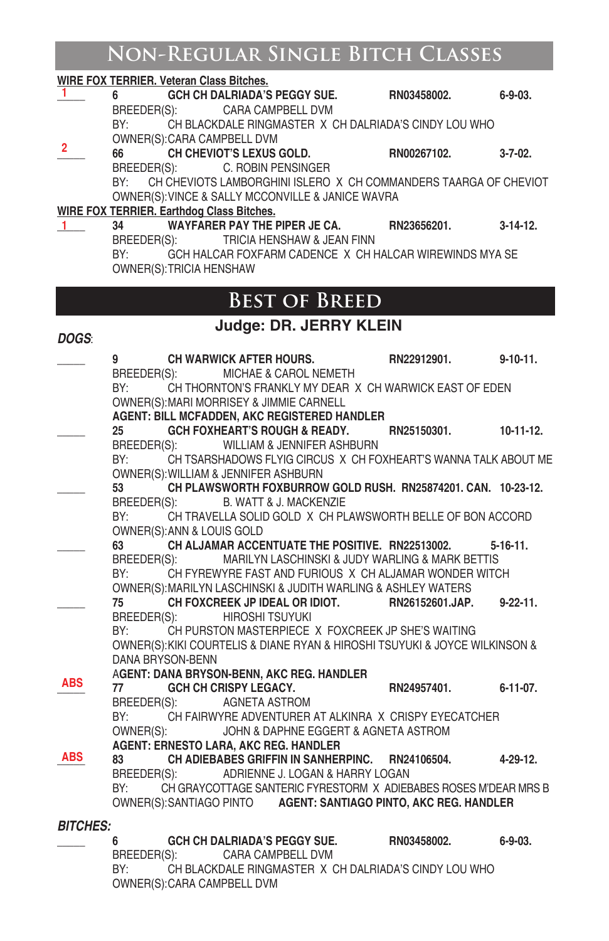# **Non-Regular Single Bitch Classes**

|                 | <b>WIRE FOX TERRIER. Veteran Class Bitches.</b>                                                                                 |                 |                 |
|-----------------|---------------------------------------------------------------------------------------------------------------------------------|-----------------|-----------------|
| 1               | GCH CH DALRIADA'S PEGGY SUE.<br>6                                                                                               | RN03458002.     | $6 - 9 - 03.$   |
|                 | CARA CAMPBELL DVM<br>BREEDER(S):                                                                                                |                 |                 |
|                 | BY:<br>CH BLACKDALE RINGMASTER X CH DALRIADA'S CINDY LOU WHO                                                                    |                 |                 |
| 2               | OWNER(S): CARA CAMPBELL DVM<br>66                                                                                               |                 |                 |
|                 | CH CHEVIOT'S LEXUS GOLD.<br>BREEDER(S):<br>C. ROBIN PENSINGER                                                                   | RN00267102.     | $3 - 7 - 02$ .  |
|                 | CH CHEVIOTS LAMBORGHINI ISLERO X CH COMMANDERS TAARGA OF CHEVIOT<br>BY:                                                         |                 |                 |
|                 | OWNER(S): VINCE & SALLY MCCONVILLE & JANICE WAVRA                                                                               |                 |                 |
|                 | <b>WIRE FOX TERRIER. Earthdog Class Bitches.</b>                                                                                |                 |                 |
| $1 -$           | WAYFARER PAY THE PIPER JE CA.<br>34                                                                                             | RN23656201.     | $3-14-12$ .     |
|                 | BREEDER(S):<br>TRICIA HENSHAW & JEAN FINN                                                                                       |                 |                 |
|                 | BY:<br>GCH HALCAR FOXFARM CADENCE X CH HALCAR WIREWINDS MYA SE                                                                  |                 |                 |
|                 | OWNER(S): TRICIA HENSHAW                                                                                                        |                 |                 |
|                 |                                                                                                                                 |                 |                 |
|                 | <b>BEST OF BREED</b>                                                                                                            |                 |                 |
|                 | Judge: DR. JERRY KLEIN                                                                                                          |                 |                 |
| DOGS:           |                                                                                                                                 |                 |                 |
|                 | 9<br><b>CH WARWICK AFTER HOURS.</b>                                                                                             | RN22912901.     | $9 - 10 - 11$ . |
|                 | BREEDER(S):<br>MICHAE & CAROL NEMETH                                                                                            |                 |                 |
|                 | BY:<br>CH THORNTON'S FRANKLY MY DEAR X CH WARWICK EAST OF EDEN                                                                  |                 |                 |
|                 | OWNER(S): MARI MORRISEY & JIMMIE CARNELL                                                                                        |                 |                 |
|                 | AGENT: BILL MCFADDEN, AKC REGISTERED HANDLER<br><b>GCH FOXHEART'S ROUGH &amp; READY.</b><br>25                                  | RN25150301.     | 10-11-12.       |
|                 | WILLIAM & JENNIFER ASHBURN<br>BREEDER(S):                                                                                       |                 |                 |
|                 | CH TSARSHADOWS FLYIG CIRCUS X CH FOXHEART'S WANNA TALK ABOUT ME<br>BY:                                                          |                 |                 |
|                 | OWNER(S): WILLIAM & JENNIFER ASHBURN                                                                                            |                 |                 |
|                 | CH PLAWSWORTH FOXBURROW GOLD RUSH. RN25874201, CAN. 10-23-12.<br>53                                                             |                 |                 |
|                 | BREEDER(S):<br>B. WATT & J. MACKENZIE                                                                                           |                 |                 |
|                 | BY:<br>CH TRAVELLA SOLID GOLD X CH PLAWSWORTH BELLE OF BON ACCORD                                                               |                 |                 |
|                 | OWNER(S): ANN & LOUIS GOLD                                                                                                      |                 |                 |
|                 | CH ALJAMAR ACCENTUATE THE POSITIVE. RN22513002.<br>63                                                                           |                 | $5 - 16 - 11$ . |
|                 | BREEDER(S):<br>MARILYN LASCHINSKI & JUDY WARLING & MARK BETTIS<br>BY:<br>CH FYREWYRE FAST AND FURIOUS X CH ALJAMAR WONDER WITCH |                 |                 |
|                 | OWNER(S): MARILYN LASCHINSKI & JUDITH WARLING & ASHLEY WATERS                                                                   |                 |                 |
|                 | CH FOXCREEK JP IDEAL OR IDIOT.<br>75                                                                                            | RN26152601.JAP. | $9 - 22 - 11$ . |
|                 | BREEDER(S):<br>HIROSHI TSUYUKI                                                                                                  |                 |                 |
|                 | CH PURSTON MASTERPIECE X FOXCREEK JP SHE'S WAITING<br>BY:                                                                       |                 |                 |
|                 | OWNER(S): KIKI COURTELIS & DIANE RYAN & HIROSHI TSUYUKI & JOYCE WILKINSON &                                                     |                 |                 |
|                 | DANA BRYSON-BENN                                                                                                                |                 |                 |
| ABS             | AGENT: DANA BRYSON-BENN, AKC REG. HANDLER<br>77                                                                                 | RN24957401.     | $6 - 11 - 07$ . |
|                 | GCH CH CRISPY LEGACY.<br>BREEDER(S):<br>AGNETA ASTROM                                                                           |                 |                 |
|                 | BY:<br>CH FAIRWYRE ADVENTURER AT ALKINRA X CRISPY EYECATCHER                                                                    |                 |                 |
|                 | OWNER(S):<br>JOHN & DAPHNE EGGERT & AGNETA ASTROM                                                                               |                 |                 |
|                 | <b>AGENT: ERNESTO LARA, AKC REG. HANDLER</b>                                                                                    |                 |                 |
| ABS             | CH ADIEBABES GRIFFIN IN SANHERPINC. RN24106504.<br>83                                                                           |                 | 4-29-12.        |
|                 | ADRIENNE J. LOGAN & HARRY LOGAN<br>BREEDER(S):                                                                                  |                 |                 |
|                 | CH GRAYCOTTAGE SANTERIC FYRESTORM X ADIEBABES ROSES M'DEAR MRS B<br>BY:                                                         |                 |                 |
|                 | OWNER(S): SANTIAGO PINTO AGENT: SANTIAGO PINTO, AKC REG. HANDLER                                                                |                 |                 |
| <b>BITCHES:</b> |                                                                                                                                 |                 |                 |
|                 | GCH CH DALRIADA'S PEGGY SUE.<br>6                                                                                               | RN03458002.     | $6 - 9 - 03$ .  |
|                 | BREEDER(S):<br>CARA CAMPBELL DVM                                                                                                |                 |                 |
|                 | CH BLACKDALE RINGMASTER X CH DALRIADA'S CINDY LOU WHO<br>BY:                                                                    |                 |                 |

OWNER(S):CARA CAMPBELL DVM